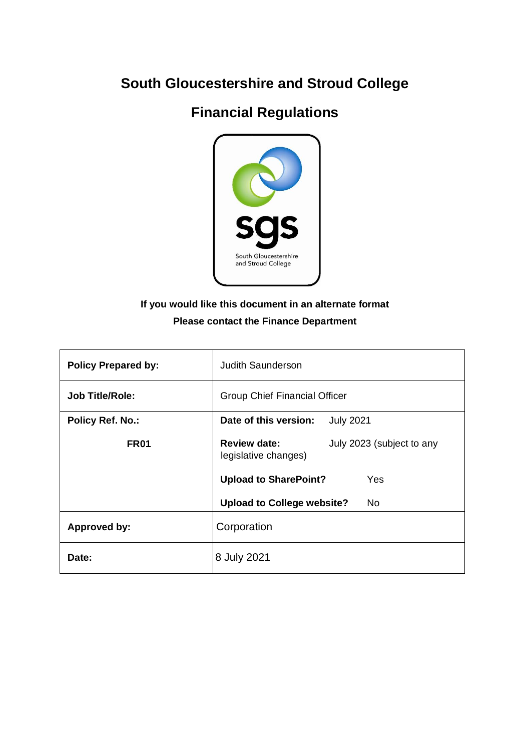# **South Gloucestershire and Stroud College**

## **Financial Regulations**



### **If you would like this document in an alternate format Please contact the Finance Department**

| <b>Policy Prepared by:</b> | Judith Saunderson                                                        |  |
|----------------------------|--------------------------------------------------------------------------|--|
| <b>Job Title/Role:</b>     | <b>Group Chief Financial Officer</b>                                     |  |
| <b>Policy Ref. No.:</b>    | Date of this version:<br><b>July 2021</b>                                |  |
| FR <sub>01</sub>           | <b>Review date:</b><br>July 2023 (subject to any<br>legislative changes) |  |
|                            | <b>Upload to SharePoint?</b><br>Yes                                      |  |
|                            | <b>Upload to College website?</b><br>No                                  |  |
| <b>Approved by:</b>        | Corporation                                                              |  |
| Date:                      | 8 July 2021                                                              |  |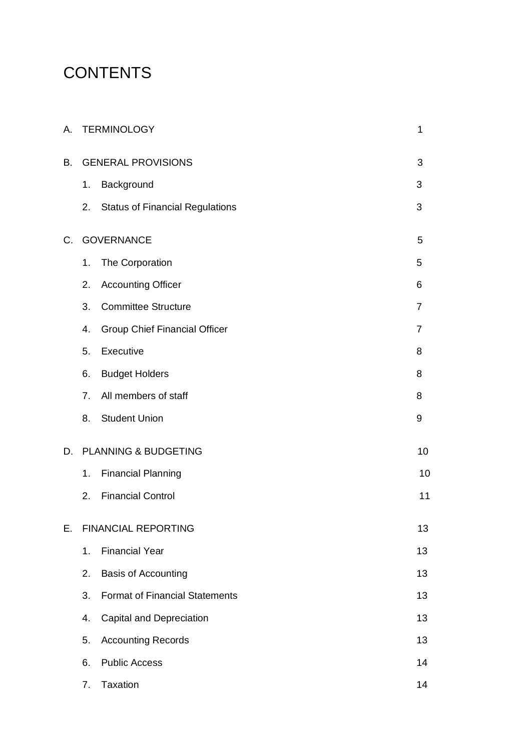# **CONTENTS**

| А.                               |                | <b>TERMINOLOGY</b><br>$\mathbf 1$      |                |  |
|----------------------------------|----------------|----------------------------------------|----------------|--|
| <b>GENERAL PROVISIONS</b><br>B.  |                |                                        | 3              |  |
|                                  | 1.             | Background                             | 3              |  |
|                                  | 2.             | <b>Status of Financial Regulations</b> | 3              |  |
| $C_{\cdot}$                      |                | <b>GOVERNANCE</b>                      | 5              |  |
|                                  | 1.             | The Corporation                        | 5              |  |
|                                  | 2.             | <b>Accounting Officer</b>              | 6              |  |
|                                  | 3.             | <b>Committee Structure</b>             | 7              |  |
|                                  | 4.             | Group Chief Financial Officer          | $\overline{7}$ |  |
|                                  | 5.             | Executive                              | 8              |  |
|                                  | 6.             | <b>Budget Holders</b>                  | 8              |  |
|                                  | 7 <sub>1</sub> | All members of staff                   | 8              |  |
|                                  | 8.             | <b>Student Union</b>                   | 9              |  |
| D.                               |                | PLANNING & BUDGETING                   | 10             |  |
|                                  | 1.             | <b>Financial Planning</b>              | 10             |  |
|                                  | 2.             | <b>Financial Control</b>               | 11             |  |
| <b>FINANCIAL REPORTING</b><br>Е. |                |                                        | 13             |  |
|                                  | 1.             | <b>Financial Year</b>                  | 13             |  |
|                                  | 2.             | <b>Basis of Accounting</b>             | 13             |  |
|                                  | 3.             | <b>Format of Financial Statements</b>  | 13             |  |
|                                  | 4.             | Capital and Depreciation               | 13             |  |
|                                  | 5.             | <b>Accounting Records</b>              | 13             |  |
|                                  | 6.             | <b>Public Access</b>                   | 14             |  |
|                                  | 7.             | <b>Taxation</b>                        | 14             |  |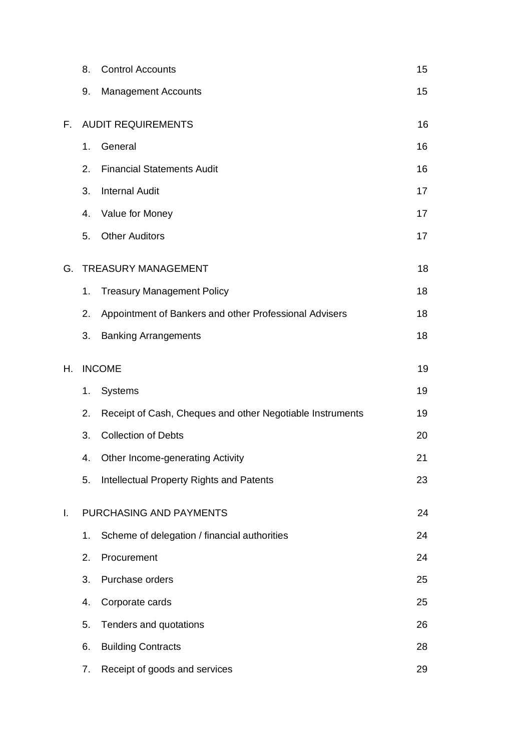|                               | 8.                        | <b>Control Accounts</b>                                   | 15 |
|-------------------------------|---------------------------|-----------------------------------------------------------|----|
|                               | 9.                        | <b>Management Accounts</b>                                | 15 |
| F.                            | <b>AUDIT REQUIREMENTS</b> |                                                           | 16 |
|                               | 1.                        | General                                                   | 16 |
|                               | 2.                        | <b>Financial Statements Audit</b>                         | 16 |
|                               | 3.                        | <b>Internal Audit</b>                                     | 17 |
|                               | 4.                        | Value for Money                                           | 17 |
|                               | 5.                        | <b>Other Auditors</b>                                     | 17 |
| G.                            |                           | <b>TREASURY MANAGEMENT</b>                                | 18 |
|                               | 1.                        | <b>Treasury Management Policy</b>                         | 18 |
|                               | 2.                        | Appointment of Bankers and other Professional Advisers    | 18 |
|                               | 3.                        | <b>Banking Arrangements</b>                               | 18 |
| Η.                            |                           | <b>INCOME</b>                                             | 19 |
|                               | 1.                        | <b>Systems</b>                                            | 19 |
|                               | 2.                        | Receipt of Cash, Cheques and other Negotiable Instruments | 19 |
|                               | 3.                        | <b>Collection of Debts</b>                                | 20 |
|                               | 4.                        | <b>Other Income-generating Activity</b>                   | 21 |
|                               | 5.                        | Intellectual Property Rights and Patents                  | 23 |
| PURCHASING AND PAYMENTS<br>Τ. |                           |                                                           | 24 |
|                               | 1.                        | Scheme of delegation / financial authorities              | 24 |
|                               | 2.                        | Procurement                                               | 24 |
|                               | 3.                        | Purchase orders                                           | 25 |
|                               | 4.                        | Corporate cards                                           | 25 |
|                               | 5.                        | Tenders and quotations                                    | 26 |
|                               | 6.                        | <b>Building Contracts</b>                                 | 28 |
|                               | 7.                        | Receipt of goods and services                             | 29 |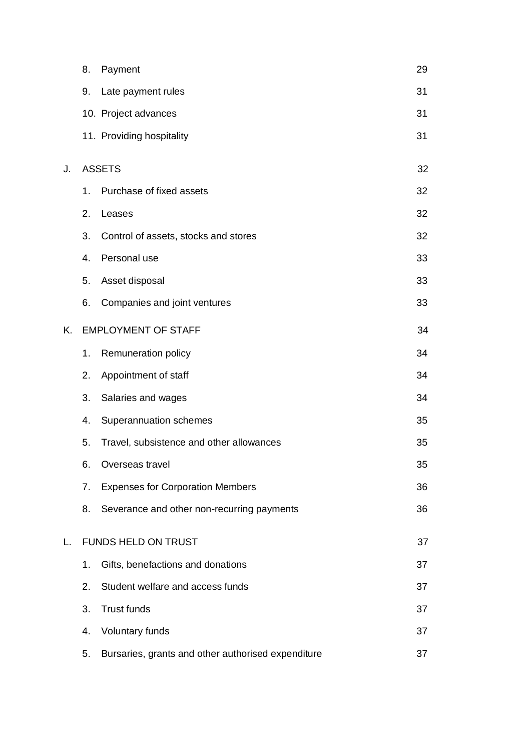|    | 8. | Payment                                            | 29 |
|----|----|----------------------------------------------------|----|
|    | 9. | Late payment rules                                 | 31 |
|    |    | 10. Project advances                               | 31 |
|    |    | 11. Providing hospitality                          | 31 |
| J. |    | <b>ASSETS</b>                                      | 32 |
|    | 1. | Purchase of fixed assets                           | 32 |
|    | 2. | Leases                                             | 32 |
|    | 3. | Control of assets, stocks and stores               | 32 |
|    | 4. | Personal use                                       | 33 |
|    | 5. | Asset disposal                                     | 33 |
|    | 6. | Companies and joint ventures                       | 33 |
| Κ. |    | <b>EMPLOYMENT OF STAFF</b>                         | 34 |
|    | 1. | Remuneration policy                                | 34 |
|    | 2. | Appointment of staff                               | 34 |
|    | 3. | Salaries and wages                                 | 34 |
|    | 4. | Superannuation schemes                             | 35 |
|    | 5. | Travel, subsistence and other allowances           | 35 |
|    | 6. | Overseas travel                                    | 35 |
|    | 7. | <b>Expenses for Corporation Members</b>            | 36 |
|    | 8. | Severance and other non-recurring payments         | 36 |
| L. |    | <b>FUNDS HELD ON TRUST</b>                         | 37 |
|    | 1. | Gifts, benefactions and donations                  | 37 |
|    | 2. | Student welfare and access funds                   | 37 |
|    | 3. | <b>Trust funds</b>                                 | 37 |
|    | 4. | Voluntary funds                                    | 37 |
|    | 5. | Bursaries, grants and other authorised expenditure | 37 |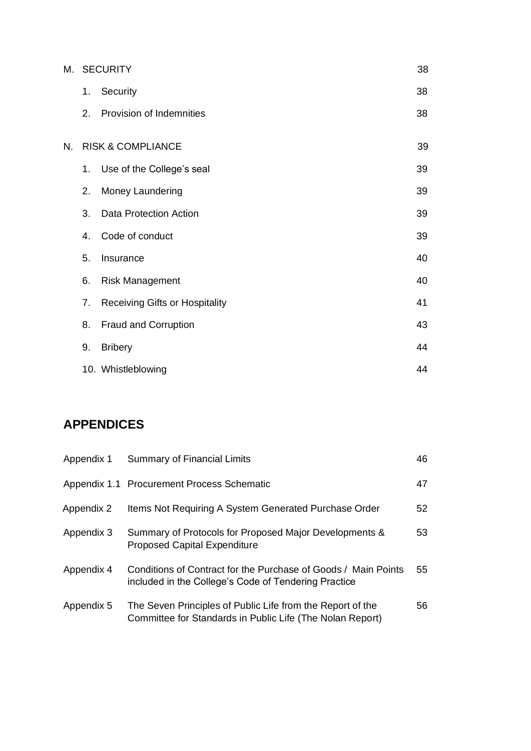|    |                              | M. SECURITY<br>38                     |    |
|----|------------------------------|---------------------------------------|----|
|    | 1.                           | Security                              | 38 |
|    | 2.                           | Provision of Indemnities              | 38 |
| N. |                              | <b>RISK &amp; COMPLIANCE</b>          | 39 |
|    | 1.                           | Use of the College's seal             | 39 |
|    | 2.                           | Money Laundering                      | 39 |
|    | 3.                           | <b>Data Protection Action</b>         | 39 |
|    | 4.                           | Code of conduct                       | 39 |
|    | 5.                           | 40<br>Insurance                       |    |
|    | 6.<br><b>Risk Management</b> |                                       | 40 |
|    | 7.                           | <b>Receiving Gifts or Hospitality</b> | 41 |
|    | 8.                           | Fraud and Corruption                  | 43 |
|    | 9.                           | <b>Bribery</b>                        | 44 |
|    |                              | 10. Whistleblowing                    | 44 |

### **APPENDICES**

| Appendix 1 | <b>Summary of Financial Limits</b>                                                                                      | 46 |
|------------|-------------------------------------------------------------------------------------------------------------------------|----|
|            | Appendix 1.1 Procurement Process Schematic                                                                              | 47 |
| Appendix 2 | Items Not Requiring A System Generated Purchase Order                                                                   | 52 |
| Appendix 3 | Summary of Protocols for Proposed Major Developments &<br><b>Proposed Capital Expenditure</b>                           | 53 |
| Appendix 4 | Conditions of Contract for the Purchase of Goods / Main Points<br>included in the College's Code of Tendering Practice  | 55 |
| Appendix 5 | The Seven Principles of Public Life from the Report of the<br>Committee for Standards in Public Life (The Nolan Report) | 56 |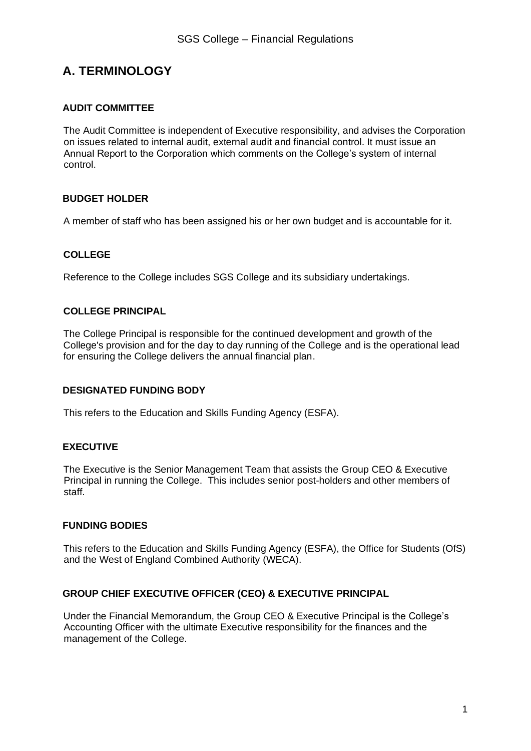### **A. TERMINOLOGY**

#### **AUDIT COMMITTEE**

The Audit Committee is independent of Executive responsibility, and advises the Corporation on issues related to internal audit, external audit and financial control. It must issue an Annual Report to the Corporation which comments on the College's system of internal control.

#### **BUDGET HOLDER**

A member of staff who has been assigned his or her own budget and is accountable for it.

#### **COLLEGE**

Reference to the College includes SGS College and its subsidiary undertakings.

#### **COLLEGE PRINCIPAL**

The College Principal is responsible for the continued development and growth of the College's provision and for the day to day running of the College and is the operational lead for ensuring the College delivers the annual financial plan.

#### **DESIGNATED FUNDING BODY**

This refers to the Education and Skills Funding Agency (ESFA).

#### **EXECUTIVE**

The Executive is the Senior Management Team that assists the Group CEO & Executive Principal in running the College. This includes senior post-holders and other members of staff.

#### **FUNDING BODIES**

This refers to the Education and Skills Funding Agency (ESFA), the Office for Students (OfS) and the West of England Combined Authority (WECA).

#### **GROUP CHIEF EXECUTIVE OFFICER (CEO) & EXECUTIVE PRINCIPAL**

Under the Financial Memorandum, the Group CEO & Executive Principal is the College's Accounting Officer with the ultimate Executive responsibility for the finances and the management of the College.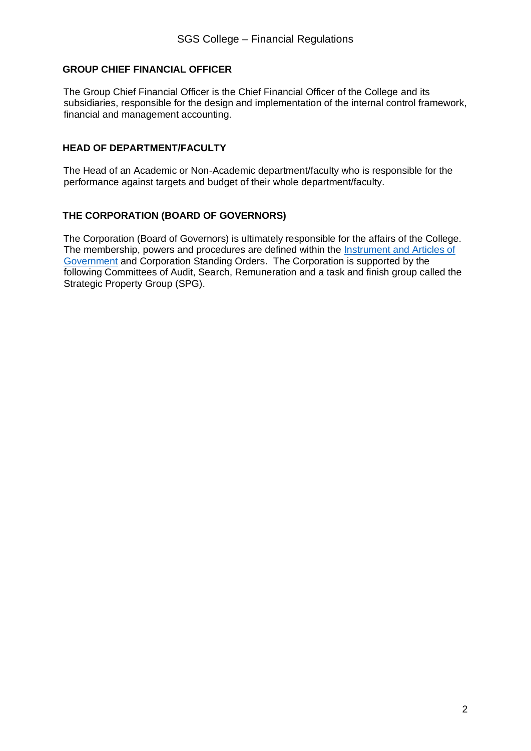#### **GROUP CHIEF FINANCIAL OFFICER**

The Group Chief Financial Officer is the Chief Financial Officer of the College and its subsidiaries, responsible for the design and implementation of the internal control framework, financial and management accounting.

#### **HEAD OF DEPARTMENT/FACULTY**

The Head of an Academic or Non-Academic department/faculty who is responsible for the performance against targets and budget of their whole department/faculty.

#### **THE CORPORATION (BOARD OF GOVERNORS)**

The Corporation (Board of Governors) is ultimately responsible for the affairs of the College. The membership, powers and procedures are defined within the [Instrument and Articles of](http://www.legislation.gov.uk/ukpga/1992/13/contents)  [Government](http://www.legislation.gov.uk/ukpga/1992/13/contents) and Corporation Standing Orders. The Corporation is supported by the following Committees of Audit, Search, Remuneration and a task and finish group called the Strategic Property Group (SPG).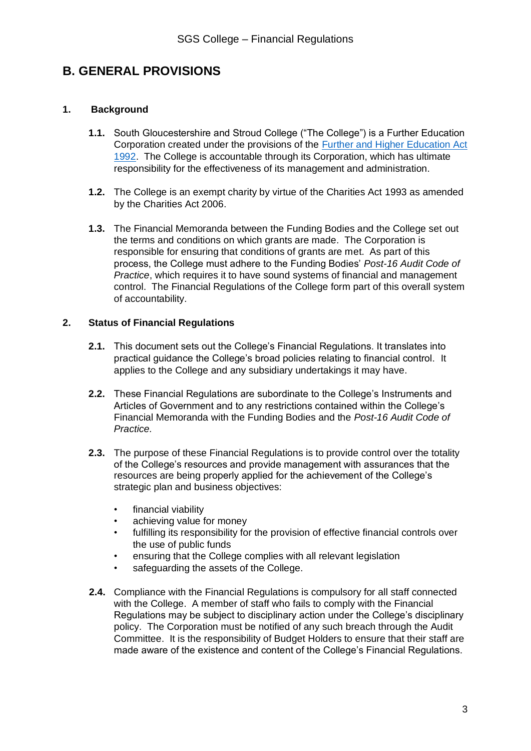### **B. GENERAL PROVISIONS**

#### **1. Background**

- **1.1.** South Gloucestershire and Stroud College ("The College") is a Further Education Corporation created under the provisions of the [Further and Higher Education Act](https://sgscol.sharepoint.com/sites/staff/DataHub/Official%20Documents%20in%20SGS/Financial%20procedures.pdf)  [1992.](https://sgscol.sharepoint.com/sites/staff/DataHub/Official%20Documents%20in%20SGS/Financial%20procedures.pdf) The College is accountable through its Corporation, which has ultimate responsibility for the effectiveness of its management and administration.
- **1.2.** The College is an exempt charity by virtue of the Charities Act 1993 as amended by the Charities Act 2006.
- **1.3.** The Financial Memoranda between the Funding Bodies and the College set out the terms and conditions on which grants are made. The Corporation is responsible for ensuring that conditions of grants are met. As part of this process, the College must adhere to the Funding Bodies' *Post-16 Audit Code of Practice*, which requires it to have sound systems of financial and management control. The Financial Regulations of the College form part of this overall system of accountability.

#### **2. Status of Financial Regulations**

- **2.1.** This document sets out the College's Financial Regulations. It translates into practical guidance the College's broad policies relating to financial control. It applies to the College and any subsidiary undertakings it may have.
- **2.2.** These Financial Regulations are subordinate to the College's Instruments and Articles of Government and to any restrictions contained within the College's Financial Memoranda with the Funding Bodies and the *Post-16 Audit Code of Practice.*
- **2.3.** The purpose of these Financial Regulations is to provide control over the totality of the College's resources and provide management with assurances that the resources are being properly applied for the achievement of the College's strategic plan and business objectives:
	- financial viability
	- achieving value for money
	- fulfilling its responsibility for the provision of effective financial controls over the use of public funds
	- ensuring that the College complies with all relevant legislation
	- safeguarding the assets of the College.
- **2.4.** Compliance with the Financial Regulations is compulsory for all staff connected with the College. A member of staff who fails to comply with the Financial Regulations may be subject to disciplinary action under the College's disciplinary policy. The Corporation must be notified of any such breach through the Audit Committee. It is the responsibility of Budget Holders to ensure that their staff are made aware of the existence and content of the College's Financial Regulations.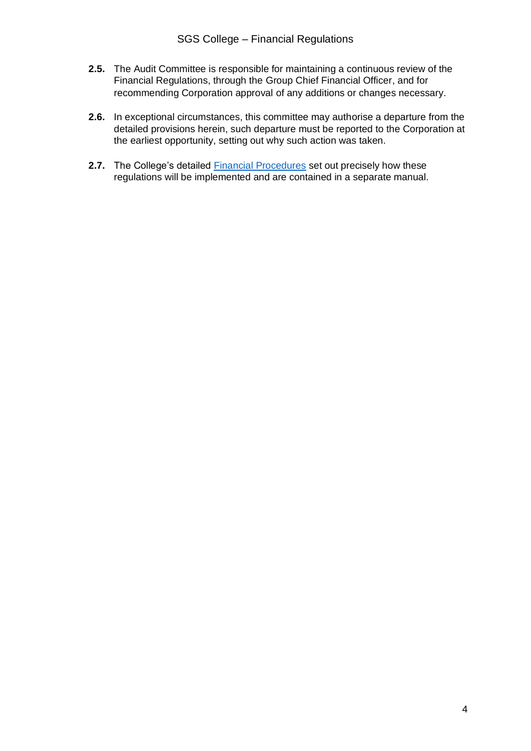- **2.5.** The Audit Committee is responsible for maintaining a continuous review of the Financial Regulations, through the Group Chief Financial Officer, and for recommending Corporation approval of any additions or changes necessary.
- **2.6.** In exceptional circumstances, this committee may authorise a departure from the detailed provisions herein, such departure must be reported to the Corporation at the earliest opportunity, setting out why such action was taken.
- **2.7.** The College's detailed [Financial Procedures](https://sgscol.sharepoint.com/sites/staff/DataHub/Official%20Documents%20in%20SGS/Financial%20Procedures%20v1.2%20-%20Feb%2021%20update.pdf#search=financial%20procedures) set out precisely how these regulations will be implemented and are contained in a separate manual.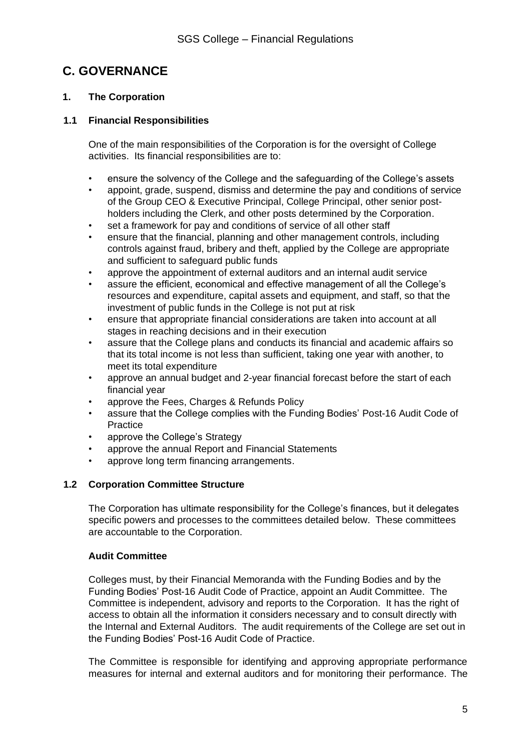### **C. GOVERNANCE**

#### **1. The Corporation**

#### **1.1 Financial Responsibilities**

One of the main responsibilities of the Corporation is for the oversight of College activities. Its financial responsibilities are to:

- ensure the solvency of the College and the safeguarding of the College's assets
- appoint, grade, suspend, dismiss and determine the pay and conditions of service of the Group CEO & Executive Principal, College Principal, other senior postholders including the Clerk, and other posts determined by the Corporation.
- set a framework for pay and conditions of service of all other staff
- ensure that the financial, planning and other management controls, including controls against fraud, bribery and theft, applied by the College are appropriate and sufficient to safeguard public funds
- approve the appointment of external auditors and an internal audit service
- assure the efficient, economical and effective management of all the College's resources and expenditure, capital assets and equipment, and staff, so that the investment of public funds in the College is not put at risk
- ensure that appropriate financial considerations are taken into account at all stages in reaching decisions and in their execution
- assure that the College plans and conducts its financial and academic affairs so that its total income is not less than sufficient, taking one year with another, to meet its total expenditure
- approve an annual budget and 2-year financial forecast before the start of each financial year
- approve the Fees, Charges & Refunds Policy
- assure that the College complies with the Funding Bodies' Post-16 Audit Code of **Practice**
- approve the College's Strategy
- approve the annual Report and Financial Statements
- approve long term financing arrangements.

#### **1.2 Corporation Committee Structure**

The Corporation has ultimate responsibility for the College's finances, but it delegates specific powers and processes to the committees detailed below. These committees are accountable to the Corporation.

#### **Audit Committee**

Colleges must, by their Financial Memoranda with the Funding Bodies and by the Funding Bodies' Post-16 Audit Code of Practice, appoint an Audit Committee. The Committee is independent, advisory and reports to the Corporation. It has the right of access to obtain all the information it considers necessary and to consult directly with the Internal and External Auditors. The audit requirements of the College are set out in the Funding Bodies' Post-16 Audit Code of Practice.

The Committee is responsible for identifying and approving appropriate performance measures for internal and external auditors and for monitoring their performance. The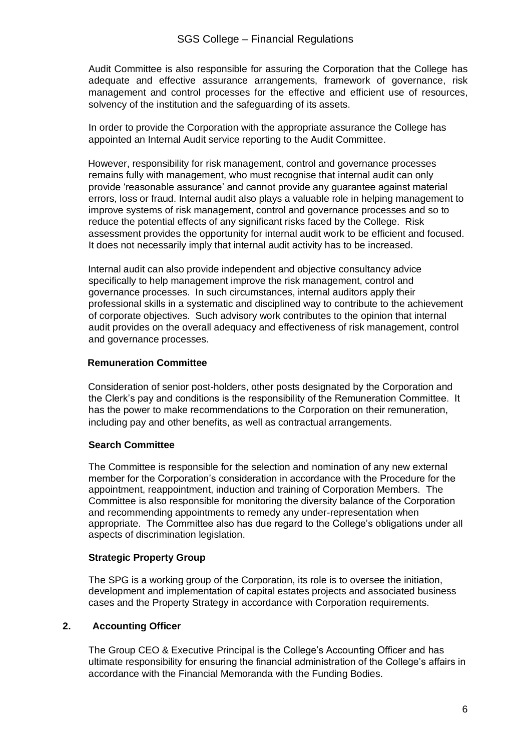Audit Committee is also responsible for assuring the Corporation that the College has adequate and effective assurance arrangements, framework of governance, risk management and control processes for the effective and efficient use of resources, solvency of the institution and the safeguarding of its assets.

In order to provide the Corporation with the appropriate assurance the College has appointed an Internal Audit service reporting to the Audit Committee.

However, responsibility for risk management, control and governance processes remains fully with management, who must recognise that internal audit can only provide 'reasonable assurance' and cannot provide any guarantee against material errors, loss or fraud. Internal audit also plays a valuable role in helping management to improve systems of risk management, control and governance processes and so to reduce the potential effects of any significant risks faced by the College. Risk assessment provides the opportunity for internal audit work to be efficient and focused. It does not necessarily imply that internal audit activity has to be increased.

Internal audit can also provide independent and objective consultancy advice specifically to help management improve the risk management, control and governance processes. In such circumstances, internal auditors apply their professional skills in a systematic and disciplined way to contribute to the achievement of corporate objectives. Such advisory work contributes to the opinion that internal audit provides on the overall adequacy and effectiveness of risk management, control and governance processes.

#### **Remuneration Committee**

Consideration of senior post-holders, other posts designated by the Corporation and the Clerk's pay and conditions is the responsibility of the Remuneration Committee. It has the power to make recommendations to the Corporation on their remuneration, including pay and other benefits, as well as contractual arrangements.

#### **Search Committee**

The Committee is responsible for the selection and nomination of any new external member for the Corporation's consideration in accordance with the Procedure for the appointment, reappointment, induction and training of Corporation Members. The Committee is also responsible for monitoring the diversity balance of the Corporation and recommending appointments to remedy any under-representation when appropriate. The Committee also has due regard to the College's obligations under all aspects of discrimination legislation.

#### **Strategic Property Group**

The SPG is a working group of the Corporation, its role is to oversee the initiation, development and implementation of capital estates projects and associated business cases and the Property Strategy in accordance with Corporation requirements.

#### **2. Accounting Officer**

The Group CEO & Executive Principal is the College's Accounting Officer and has ultimate responsibility for ensuring the financial administration of the College's affairs in accordance with the Financial Memoranda with the Funding Bodies.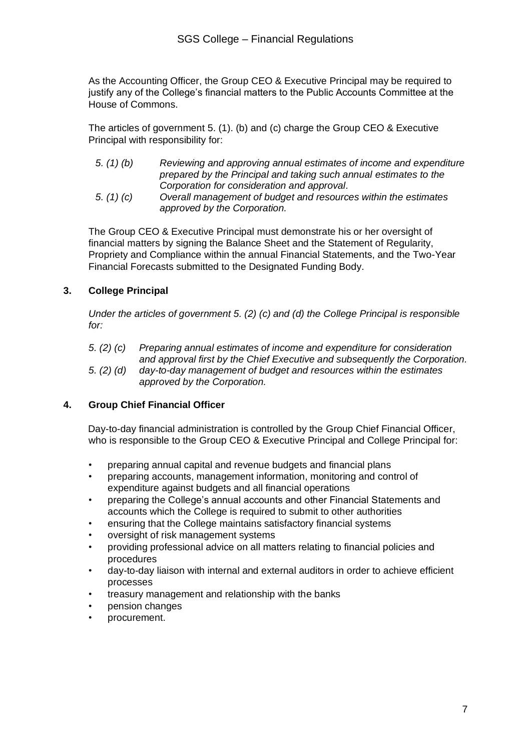As the Accounting Officer, the Group CEO & Executive Principal may be required to justify any of the College's financial matters to the Public Accounts Committee at the House of Commons.

The articles of government 5. (1). (b) and (c) charge the Group CEO & Executive Principal with responsibility for:

| 5. $(1)$ $(b)$              | Reviewing and approving annual estimates of income and expenditure   |
|-----------------------------|----------------------------------------------------------------------|
|                             | prepared by the Principal and taking such annual estimates to the    |
|                             | Corporation for consideration and approval.                          |
| $\sim$ $\sim$ $\sim$ $\sim$ | $\bullet$ is the set of the set of $\bullet$ is the set of $\bullet$ |

*5. (1) (c) Overall management of budget and resources within the estimates approved by the Corporation.*

The Group CEO & Executive Principal must demonstrate his or her oversight of financial matters by signing the Balance Sheet and the Statement of Regularity, Propriety and Compliance within the annual Financial Statements, and the Two-Year Financial Forecasts submitted to the Designated Funding Body.

#### **3. College Principal**

*Under the articles of government 5. (2) (c) and (d) the College Principal is responsible for:*

- *5. (2) (c) Preparing annual estimates of income and expenditure for consideration and approval first by the Chief Executive and subsequently the Corporation.*
- *5. (2) (d) day-to-day management of budget and resources within the estimates approved by the Corporation.*

#### **4. Group Chief Financial Officer**

Day-to-day financial administration is controlled by the Group Chief Financial Officer, who is responsible to the Group CEO & Executive Principal and College Principal for:

- preparing annual capital and revenue budgets and financial plans
- preparing accounts, management information, monitoring and control of expenditure against budgets and all financial operations
- preparing the College's annual accounts and other Financial Statements and accounts which the College is required to submit to other authorities
- ensuring that the College maintains satisfactory financial systems
- oversight of risk management systems
- providing professional advice on all matters relating to financial policies and procedures
- day-to-day liaison with internal and external auditors in order to achieve efficient processes
- treasury management and relationship with the banks
- pension changes
- procurement.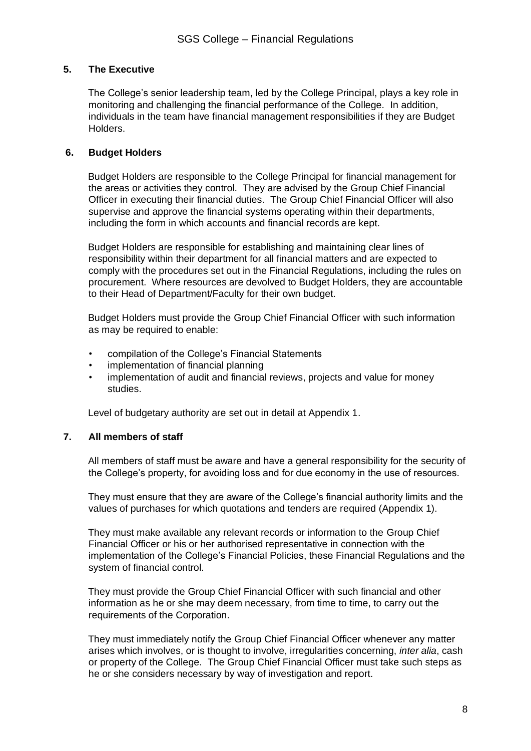#### **5. The Executive**

The College's senior leadership team, led by the College Principal, plays a key role in monitoring and challenging the financial performance of the College. In addition, individuals in the team have financial management responsibilities if they are Budget Holders.

#### **6. Budget Holders**

Budget Holders are responsible to the College Principal for financial management for the areas or activities they control. They are advised by the Group Chief Financial Officer in executing their financial duties. The Group Chief Financial Officer will also supervise and approve the financial systems operating within their departments, including the form in which accounts and financial records are kept.

Budget Holders are responsible for establishing and maintaining clear lines of responsibility within their department for all financial matters and are expected to comply with the procedures set out in the Financial Regulations, including the rules on procurement. Where resources are devolved to Budget Holders, they are accountable to their Head of Department/Faculty for their own budget.

Budget Holders must provide the Group Chief Financial Officer with such information as may be required to enable:

- compilation of the College's Financial Statements
- implementation of financial planning
- implementation of audit and financial reviews, projects and value for money studies.

Level of budgetary authority are set out in detail at Appendix 1.

#### **7. All members of staff**

All members of staff must be aware and have a general responsibility for the security of the College's property, for avoiding loss and for due economy in the use of resources.

They must ensure that they are aware of the College's financial authority limits and the values of purchases for which quotations and tenders are required (Appendix 1).

They must make available any relevant records or information to the Group Chief Financial Officer or his or her authorised representative in connection with the implementation of the College's Financial Policies, these Financial Regulations and the system of financial control.

They must provide the Group Chief Financial Officer with such financial and other information as he or she may deem necessary, from time to time, to carry out the requirements of the Corporation.

They must immediately notify the Group Chief Financial Officer whenever any matter arises which involves, or is thought to involve, irregularities concerning, *inter alia*, cash or property of the College. The Group Chief Financial Officer must take such steps as he or she considers necessary by way of investigation and report.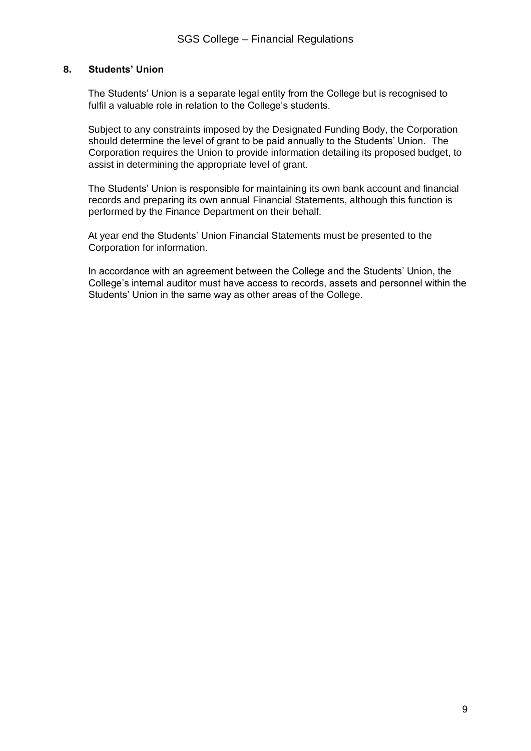#### **8. Students' Union**

The Students' Union is a separate legal entity from the College but is recognised to fulfil a valuable role in relation to the College's students.

Subject to any constraints imposed by the Designated Funding Body, the Corporation should determine the level of grant to be paid annually to the Students' Union. The Corporation requires the Union to provide information detailing its proposed budget, to assist in determining the appropriate level of grant.

The Students' Union is responsible for maintaining its own bank account and financial records and preparing its own annual Financial Statements, although this function is performed by the Finance Department on their behalf.

At year end the Students' Union Financial Statements must be presented to the Corporation for information.

In accordance with an agreement between the College and the Students' Union, the College's internal auditor must have access to records, assets and personnel within the Students' Union in the same way as other areas of the College.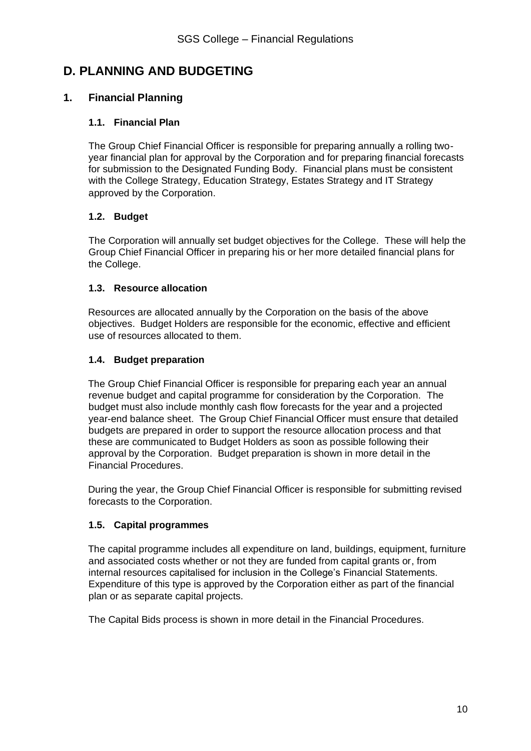### **D. PLANNING AND BUDGETING**

#### **1. Financial Planning**

#### **1.1. Financial Plan**

The Group Chief Financial Officer is responsible for preparing annually a rolling twoyear financial plan for approval by the Corporation and for preparing financial forecasts for submission to the Designated Funding Body. Financial plans must be consistent with the College Strategy, Education Strategy, Estates Strategy and IT Strategy approved by the Corporation.

#### **1.2. Budget**

The Corporation will annually set budget objectives for the College. These will help the Group Chief Financial Officer in preparing his or her more detailed financial plans for the College.

#### **1.3. Resource allocation**

Resources are allocated annually by the Corporation on the basis of the above objectives. Budget Holders are responsible for the economic, effective and efficient use of resources allocated to them.

#### **1.4. Budget preparation**

The Group Chief Financial Officer is responsible for preparing each year an annual revenue budget and capital programme for consideration by the Corporation. The budget must also include monthly cash flow forecasts for the year and a projected year-end balance sheet. The Group Chief Financial Officer must ensure that detailed budgets are prepared in order to support the resource allocation process and that these are communicated to Budget Holders as soon as possible following their approval by the Corporation. Budget preparation is shown in more detail in the Financial Procedures.

During the year, the Group Chief Financial Officer is responsible for submitting revised forecasts to the Corporation.

#### **1.5. Capital programmes**

The capital programme includes all expenditure on land, buildings, equipment, furniture and associated costs whether or not they are funded from capital grants or, from internal resources capitalised for inclusion in the College's Financial Statements. Expenditure of this type is approved by the Corporation either as part of the financial plan or as separate capital projects.

The Capital Bids process is shown in more detail in the Financial Procedures.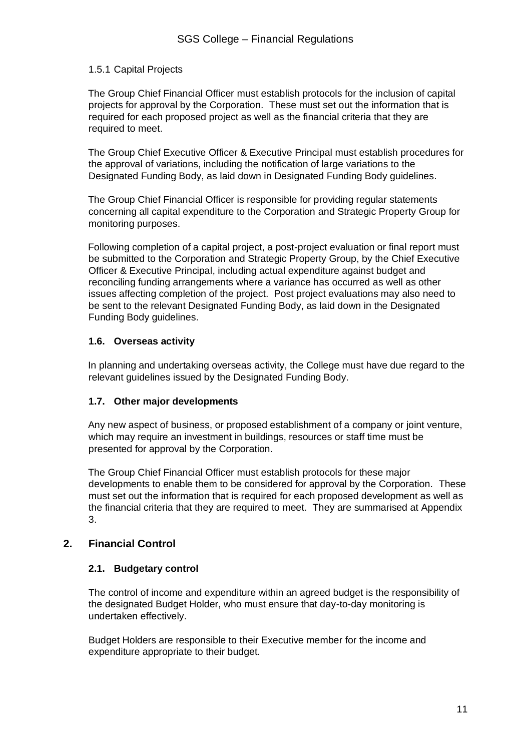#### 1.5.1 Capital Projects

The Group Chief Financial Officer must establish protocols for the inclusion of capital projects for approval by the Corporation. These must set out the information that is required for each proposed project as well as the financial criteria that they are required to meet.

The Group Chief Executive Officer & Executive Principal must establish procedures for the approval of variations, including the notification of large variations to the Designated Funding Body, as laid down in Designated Funding Body guidelines.

The Group Chief Financial Officer is responsible for providing regular statements concerning all capital expenditure to the Corporation and Strategic Property Group for monitoring purposes.

Following completion of a capital project, a post-project evaluation or final report must be submitted to the Corporation and Strategic Property Group, by the Chief Executive Officer & Executive Principal, including actual expenditure against budget and reconciling funding arrangements where a variance has occurred as well as other issues affecting completion of the project. Post project evaluations may also need to be sent to the relevant Designated Funding Body, as laid down in the Designated Funding Body guidelines.

#### **1.6. Overseas activity**

In planning and undertaking overseas activity, the College must have due regard to the relevant guidelines issued by the Designated Funding Body.

#### **1.7. Other major developments**

Any new aspect of business, or proposed establishment of a company or joint venture, which may require an investment in buildings, resources or staff time must be presented for approval by the Corporation.

The Group Chief Financial Officer must establish protocols for these major developments to enable them to be considered for approval by the Corporation. These must set out the information that is required for each proposed development as well as the financial criteria that they are required to meet. They are summarised at Appendix 3.

#### **2. Financial Control**

#### **2.1. Budgetary control**

The control of income and expenditure within an agreed budget is the responsibility of the designated Budget Holder, who must ensure that day-to-day monitoring is undertaken effectively.

Budget Holders are responsible to their Executive member for the income and expenditure appropriate to their budget.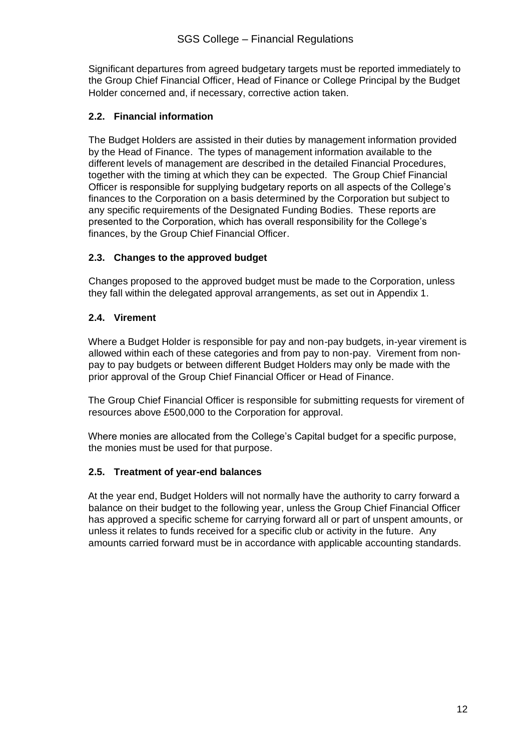Significant departures from agreed budgetary targets must be reported immediately to the Group Chief Financial Officer, Head of Finance or College Principal by the Budget Holder concerned and, if necessary, corrective action taken.

#### **2.2. Financial information**

The Budget Holders are assisted in their duties by management information provided by the Head of Finance. The types of management information available to the different levels of management are described in the detailed Financial Procedures, together with the timing at which they can be expected. The Group Chief Financial Officer is responsible for supplying budgetary reports on all aspects of the College's finances to the Corporation on a basis determined by the Corporation but subject to any specific requirements of the Designated Funding Bodies. These reports are presented to the Corporation, which has overall responsibility for the College's finances, by the Group Chief Financial Officer.

#### **2.3. Changes to the approved budget**

Changes proposed to the approved budget must be made to the Corporation, unless they fall within the delegated approval arrangements, as set out in Appendix 1.

#### **2.4. Virement**

Where a Budget Holder is responsible for pay and non-pay budgets, in-year virement is allowed within each of these categories and from pay to non-pay. Virement from nonpay to pay budgets or between different Budget Holders may only be made with the prior approval of the Group Chief Financial Officer or Head of Finance.

The Group Chief Financial Officer is responsible for submitting requests for virement of resources above £500,000 to the Corporation for approval.

Where monies are allocated from the College's Capital budget for a specific purpose, the monies must be used for that purpose.

#### **2.5. Treatment of year-end balances**

At the year end, Budget Holders will not normally have the authority to carry forward a balance on their budget to the following year, unless the Group Chief Financial Officer has approved a specific scheme for carrying forward all or part of unspent amounts, or unless it relates to funds received for a specific club or activity in the future. Any amounts carried forward must be in accordance with applicable accounting standards.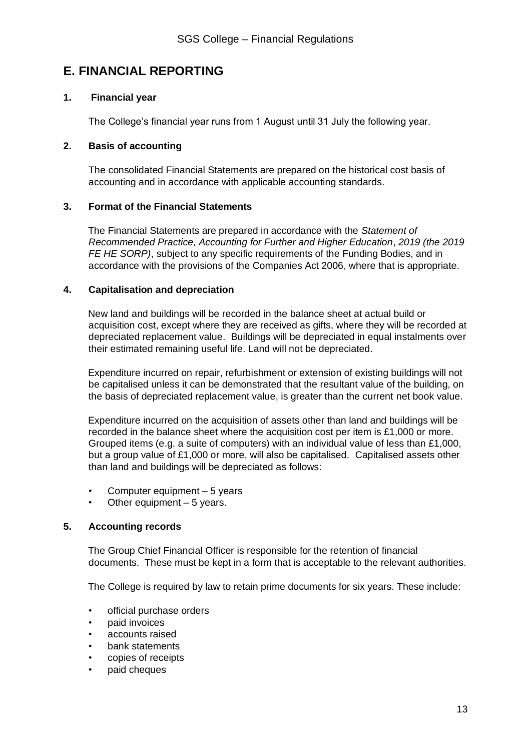### **E. FINANCIAL REPORTING**

#### **1. Financial year**

The College's financial year runs from 1 August until 31 July the following year.

#### **2. Basis of accounting**

The consolidated Financial Statements are prepared on the historical cost basis of accounting and in accordance with applicable accounting standards.

#### **3. Format of the Financial Statements**

The Financial Statements are prepared in accordance with the *Statement of Recommended Practice, Accounting for Further and Higher Education*, *2019 (the 2019 FE HE SORP)*, subject to any specific requirements of the Funding Bodies, and in accordance with the provisions of the Companies Act 2006, where that is appropriate.

#### **4. Capitalisation and depreciation**

New land and buildings will be recorded in the balance sheet at actual build or acquisition cost, except where they are received as gifts, where they will be recorded at depreciated replacement value. Buildings will be depreciated in equal instalments over their estimated remaining useful life. Land will not be depreciated.

Expenditure incurred on repair, refurbishment or extension of existing buildings will not be capitalised unless it can be demonstrated that the resultant value of the building, on the basis of depreciated replacement value, is greater than the current net book value.

Expenditure incurred on the acquisition of assets other than land and buildings will be recorded in the balance sheet where the acquisition cost per item is £1,000 or more. Grouped items (e.g. a suite of computers) with an individual value of less than £1,000, but a group value of £1,000 or more, will also be capitalised. Capitalised assets other than land and buildings will be depreciated as follows:

- Computer equipment  $-5$  years
- Other equipment  $-5$  years.

#### **5. Accounting records**

The Group Chief Financial Officer is responsible for the retention of financial documents. These must be kept in a form that is acceptable to the relevant authorities.

The College is required by law to retain prime documents for six years. These include:

- official purchase orders
- paid invoices
- accounts raised
- bank statements
- copies of receipts
- paid cheques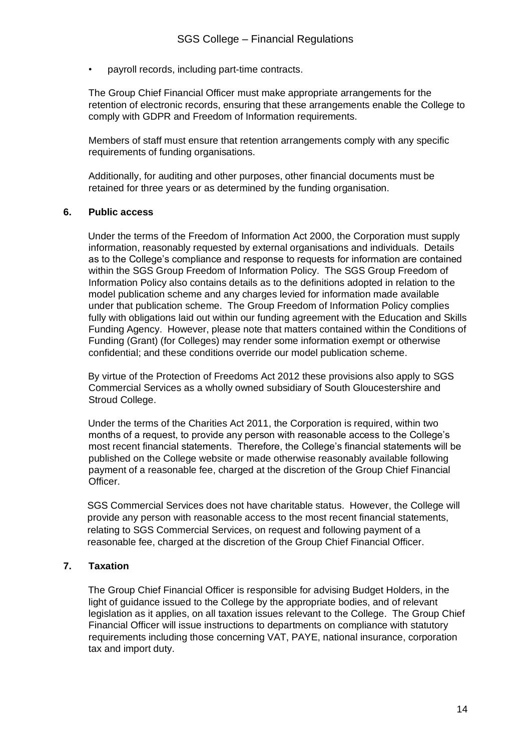• payroll records, including part-time contracts.

The Group Chief Financial Officer must make appropriate arrangements for the retention of electronic records, ensuring that these arrangements enable the College to comply with GDPR and Freedom of Information requirements.

Members of staff must ensure that retention arrangements comply with any specific requirements of funding organisations.

Additionally, for auditing and other purposes, other financial documents must be retained for three years or as determined by the funding organisation.

#### **6. Public access**

Under the terms of the Freedom of Information Act 2000, the Corporation must supply information, reasonably requested by external organisations and individuals. Details as to the College's compliance and response to requests for information are contained within the SGS Group Freedom of Information Policy. The SGS Group Freedom of Information Policy also contains details as to the definitions adopted in relation to the model publication scheme and any charges levied for information made available under that publication scheme. The Group Freedom of Information Policy complies fully with obligations laid out within our funding agreement with the Education and Skills Funding Agency. However, please note that matters contained within the Conditions of Funding (Grant) (for Colleges) may render some information exempt or otherwise confidential; and these conditions override our model publication scheme.

By virtue of the Protection of Freedoms Act 2012 these provisions also apply to SGS Commercial Services as a wholly owned subsidiary of South Gloucestershire and Stroud College.

Under the terms of the Charities Act 2011, the Corporation is required, within two months of a request, to provide any person with reasonable access to the College's most recent financial statements. Therefore, the College's financial statements will be published on the College website or made otherwise reasonably available following payment of a reasonable fee, charged at the discretion of the Group Chief Financial Officer.

SGS Commercial Services does not have charitable status. However, the College will provide any person with reasonable access to the most recent financial statements, relating to SGS Commercial Services, on request and following payment of a reasonable fee, charged at the discretion of the Group Chief Financial Officer.

#### **7. Taxation**

The Group Chief Financial Officer is responsible for advising Budget Holders, in the light of guidance issued to the College by the appropriate bodies, and of relevant legislation as it applies, on all taxation issues relevant to the College. The Group Chief Financial Officer will issue instructions to departments on compliance with statutory requirements including those concerning VAT, PAYE, national insurance, corporation tax and import duty.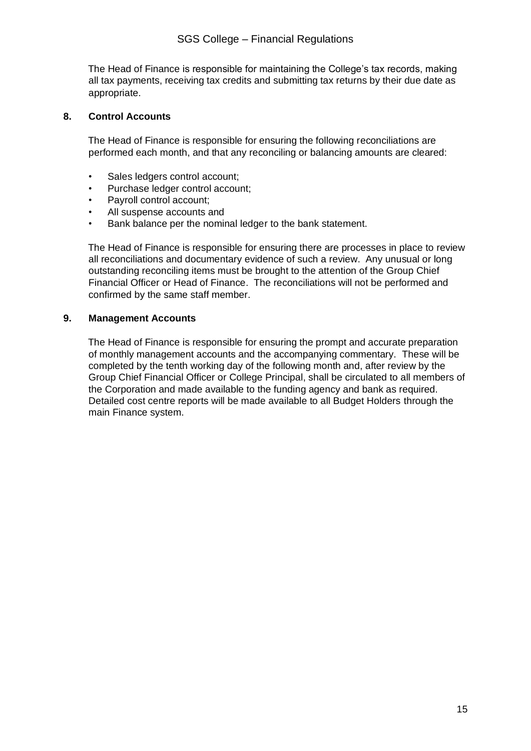The Head of Finance is responsible for maintaining the College's tax records, making all tax payments, receiving tax credits and submitting tax returns by their due date as appropriate.

#### **8. Control Accounts**

The Head of Finance is responsible for ensuring the following reconciliations are performed each month, and that any reconciling or balancing amounts are cleared:

- Sales ledgers control account;
- Purchase ledger control account;
- Payroll control account;
- All suspense accounts and
- Bank balance per the nominal ledger to the bank statement.

The Head of Finance is responsible for ensuring there are processes in place to review all reconciliations and documentary evidence of such a review. Any unusual or long outstanding reconciling items must be brought to the attention of the Group Chief Financial Officer or Head of Finance. The reconciliations will not be performed and confirmed by the same staff member.

#### **9. Management Accounts**

The Head of Finance is responsible for ensuring the prompt and accurate preparation of monthly management accounts and the accompanying commentary. These will be completed by the tenth working day of the following month and, after review by the Group Chief Financial Officer or College Principal, shall be circulated to all members of the Corporation and made available to the funding agency and bank as required. Detailed cost centre reports will be made available to all Budget Holders through the main Finance system.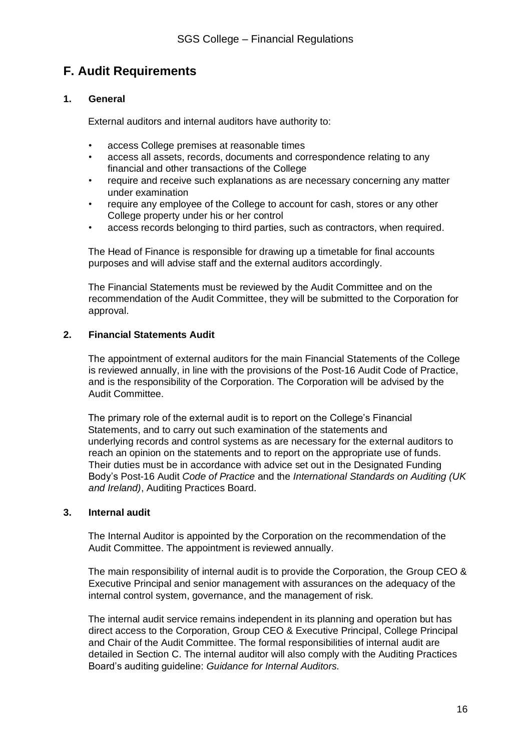## **F. Audit Requirements**

#### **1. General**

External auditors and internal auditors have authority to:

- access College premises at reasonable times
- access all assets, records, documents and correspondence relating to any financial and other transactions of the College
- require and receive such explanations as are necessary concerning any matter under examination
- require any employee of the College to account for cash, stores or any other College property under his or her control
- access records belonging to third parties, such as contractors, when required.

The Head of Finance is responsible for drawing up a timetable for final accounts purposes and will advise staff and the external auditors accordingly.

The Financial Statements must be reviewed by the Audit Committee and on the recommendation of the Audit Committee, they will be submitted to the Corporation for approval.

#### **2. Financial Statements Audit**

The appointment of external auditors for the main Financial Statements of the College is reviewed annually, in line with the provisions of the Post-16 Audit Code of Practice, and is the responsibility of the Corporation. The Corporation will be advised by the Audit Committee.

The primary role of the external audit is to report on the College's Financial Statements, and to carry out such examination of the statements and underlying records and control systems as are necessary for the external auditors to reach an opinion on the statements and to report on the appropriate use of funds. Their duties must be in accordance with advice set out in the Designated Funding Body's Post-16 Audit *Code of Practice* and the *International Standards on Auditing (UK and Ireland)*, Auditing Practices Board.

#### **3. Internal audit**

The Internal Auditor is appointed by the Corporation on the recommendation of the Audit Committee. The appointment is reviewed annually.

The main responsibility of internal audit is to provide the Corporation, the Group CEO & Executive Principal and senior management with assurances on the adequacy of the internal control system, governance, and the management of risk.

The internal audit service remains independent in its planning and operation but has direct access to the Corporation, Group CEO & Executive Principal, College Principal and Chair of the Audit Committee. The formal responsibilities of internal audit are detailed in Section C. The internal auditor will also comply with the Auditing Practices Board's auditing guideline: *Guidance for Internal Auditors.*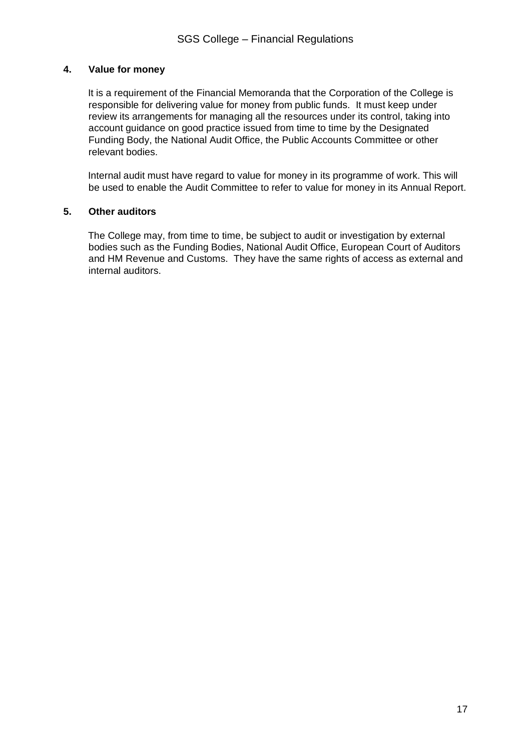#### **4. Value for money**

It is a requirement of the Financial Memoranda that the Corporation of the College is responsible for delivering value for money from public funds. It must keep under review its arrangements for managing all the resources under its control, taking into account guidance on good practice issued from time to time by the Designated Funding Body, the National Audit Office, the Public Accounts Committee or other relevant bodies.

Internal audit must have regard to value for money in its programme of work. This will be used to enable the Audit Committee to refer to value for money in its Annual Report.

#### **5. Other auditors**

The College may, from time to time, be subject to audit or investigation by external bodies such as the Funding Bodies, National Audit Office, European Court of Auditors and HM Revenue and Customs. They have the same rights of access as external and internal auditors.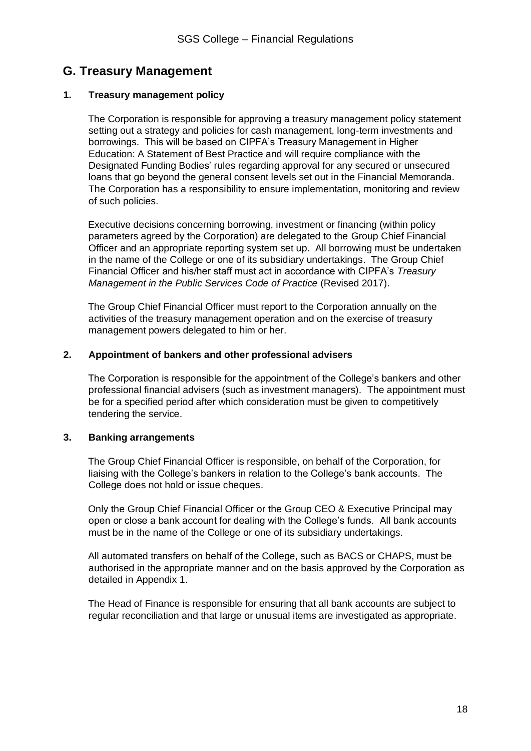### **G. Treasury Management**

#### **1. Treasury management policy**

The Corporation is responsible for approving a treasury management policy statement setting out a strategy and policies for cash management, long-term investments and borrowings. This will be based on CIPFA's Treasury Management in Higher Education: A Statement of Best Practice and will require compliance with the Designated Funding Bodies' rules regarding approval for any secured or unsecured loans that go beyond the general consent levels set out in the Financial Memoranda. The Corporation has a responsibility to ensure implementation, monitoring and review of such policies.

Executive decisions concerning borrowing, investment or financing (within policy parameters agreed by the Corporation) are delegated to the Group Chief Financial Officer and an appropriate reporting system set up. All borrowing must be undertaken in the name of the College or one of its subsidiary undertakings. The Group Chief Financial Officer and his/her staff must act in accordance with CIPFA's *Treasury Management in the Public Services Code of Practice* (Revised 2017).

The Group Chief Financial Officer must report to the Corporation annually on the activities of the treasury management operation and on the exercise of treasury management powers delegated to him or her.

#### **2. Appointment of bankers and other professional advisers**

The Corporation is responsible for the appointment of the College's bankers and other professional financial advisers (such as investment managers). The appointment must be for a specified period after which consideration must be given to competitively tendering the service.

#### **3. Banking arrangements**

The Group Chief Financial Officer is responsible, on behalf of the Corporation, for liaising with the College's bankers in relation to the College's bank accounts. The College does not hold or issue cheques.

Only the Group Chief Financial Officer or the Group CEO & Executive Principal may open or close a bank account for dealing with the College's funds. All bank accounts must be in the name of the College or one of its subsidiary undertakings.

All automated transfers on behalf of the College, such as BACS or CHAPS, must be authorised in the appropriate manner and on the basis approved by the Corporation as detailed in Appendix 1.

The Head of Finance is responsible for ensuring that all bank accounts are subject to regular reconciliation and that large or unusual items are investigated as appropriate.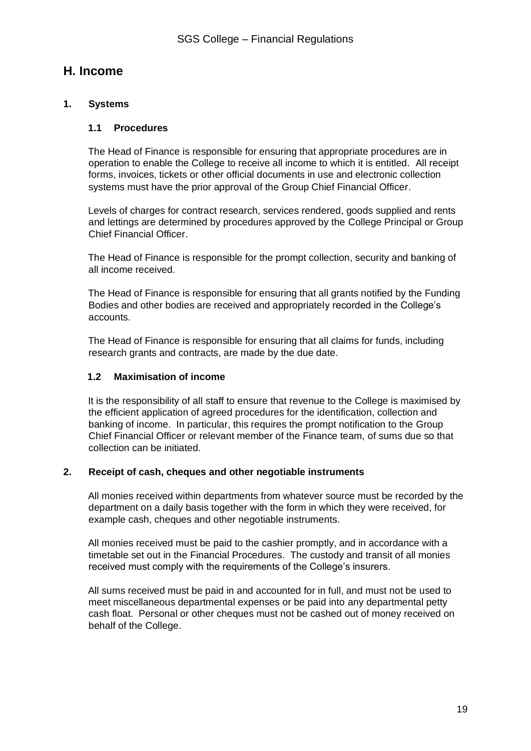### **H. Income**

#### **1. Systems**

#### **1.1 Procedures**

The Head of Finance is responsible for ensuring that appropriate procedures are in operation to enable the College to receive all income to which it is entitled. All receipt forms, invoices, tickets or other official documents in use and electronic collection systems must have the prior approval of the Group Chief Financial Officer.

Levels of charges for contract research, services rendered, goods supplied and rents and lettings are determined by procedures approved by the College Principal or Group Chief Financial Officer.

The Head of Finance is responsible for the prompt collection, security and banking of all income received.

The Head of Finance is responsible for ensuring that all grants notified by the Funding Bodies and other bodies are received and appropriately recorded in the College's accounts.

The Head of Finance is responsible for ensuring that all claims for funds, including research grants and contracts, are made by the due date.

#### **1.2 Maximisation of income**

It is the responsibility of all staff to ensure that revenue to the College is maximised by the efficient application of agreed procedures for the identification, collection and banking of income. In particular, this requires the prompt notification to the Group Chief Financial Officer or relevant member of the Finance team, of sums due so that collection can be initiated.

#### **2. Receipt of cash, cheques and other negotiable instruments**

All monies received within departments from whatever source must be recorded by the department on a daily basis together with the form in which they were received, for example cash, cheques and other negotiable instruments.

All monies received must be paid to the cashier promptly, and in accordance with a timetable set out in the Financial Procedures. The custody and transit of all monies received must comply with the requirements of the College's insurers.

All sums received must be paid in and accounted for in full, and must not be used to meet miscellaneous departmental expenses or be paid into any departmental petty cash float. Personal or other cheques must not be cashed out of money received on behalf of the College.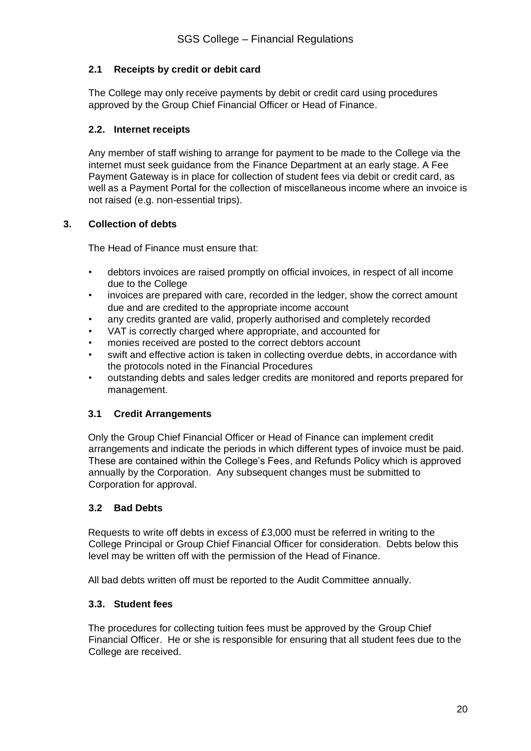#### **2.1 Receipts by credit or debit card**

The College may only receive payments by debit or credit card using procedures approved by the Group Chief Financial Officer or Head of Finance.

#### **2.2. Internet receipts**

Any member of staff wishing to arrange for payment to be made to the College via the internet must seek guidance from the Finance Department at an early stage. A Fee Payment Gateway is in place for collection of student fees via debit or credit card, as well as a Payment Portal for the collection of miscellaneous income where an invoice is not raised (e.g. non-essential trips).

#### **3. Collection of debts**

The Head of Finance must ensure that:

- debtors invoices are raised promptly on official invoices, in respect of all income due to the College
- invoices are prepared with care, recorded in the ledger, show the correct amount due and are credited to the appropriate income account
- any credits granted are valid, properly authorised and completely recorded
- VAT is correctly charged where appropriate, and accounted for
- monies received are posted to the correct debtors account
- swift and effective action is taken in collecting overdue debts, in accordance with the protocols noted in the Financial Procedures
- outstanding debts and sales ledger credits are monitored and reports prepared for management.

#### **3.1 Credit Arrangements**

Only the Group Chief Financial Officer or Head of Finance can implement credit arrangements and indicate the periods in which different types of invoice must be paid. These are contained within the College's Fees, and Refunds Policy which is approved annually by the Corporation. Any subsequent changes must be submitted to Corporation for approval.

#### **3.2 Bad Debts**

Requests to write off debts in excess of £3,000 must be referred in writing to the College Principal or Group Chief Financial Officer for consideration. Debts below this level may be written off with the permission of the Head of Finance.

All bad debts written off must be reported to the Audit Committee annually.

#### **3.3. Student fees**

The procedures for collecting tuition fees must be approved by the Group Chief Financial Officer. He or she is responsible for ensuring that all student fees due to the College are received.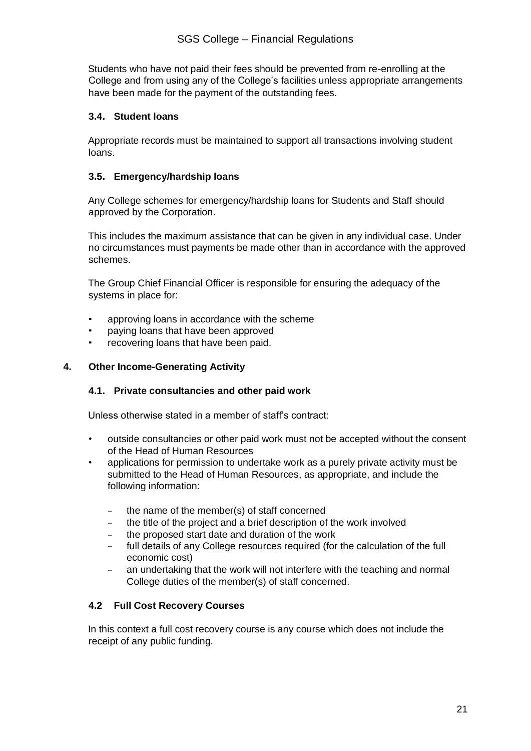Students who have not paid their fees should be prevented from re-enrolling at the College and from using any of the College's facilities unless appropriate arrangements have been made for the payment of the outstanding fees.

#### **3.4. Student loans**

Appropriate records must be maintained to support all transactions involving student loans.

#### **3.5. Emergency/hardship loans**

Any College schemes for emergency/hardship loans for Students and Staff should approved by the Corporation.

This includes the maximum assistance that can be given in any individual case. Under no circumstances must payments be made other than in accordance with the approved schemes.

The Group Chief Financial Officer is responsible for ensuring the adequacy of the systems in place for:

- approving loans in accordance with the scheme
- paying loans that have been approved
- recovering loans that have been paid.

#### **4. Other Income-Generating Activity**

#### **4.1. Private consultancies and other paid work**

Unless otherwise stated in a member of staff's contract:

- outside consultancies or other paid work must not be accepted without the consent of the Head of Human Resources
- applications for permission to undertake work as a purely private activity must be submitted to the Head of Human Resources, as appropriate, and include the following information:
	- the name of the member(s) of staff concerned
	- the title of the project and a brief description of the work involved
	- the proposed start date and duration of the work
	- full details of any College resources required (for the calculation of the full economic cost)
	- an undertaking that the work will not interfere with the teaching and normal College duties of the member(s) of staff concerned.

#### **4.2 Full Cost Recovery Courses**

In this context a full cost recovery course is any course which does not include the receipt of any public funding.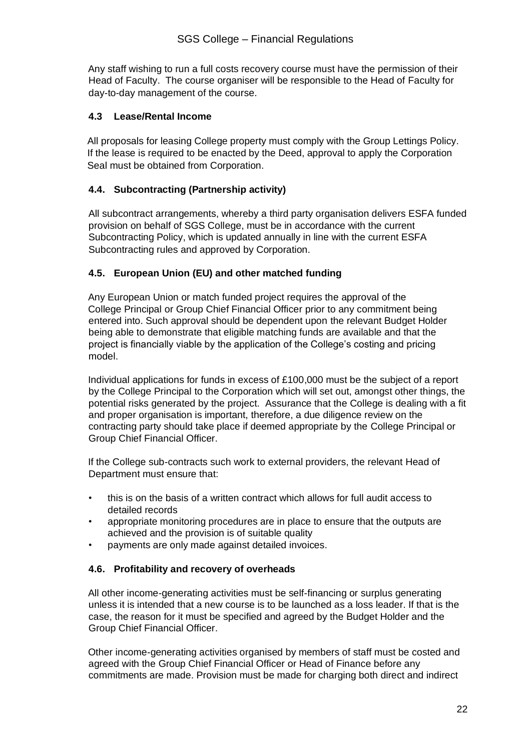Any staff wishing to run a full costs recovery course must have the permission of their Head of Faculty. The course organiser will be responsible to the Head of Faculty for day-to-day management of the course.

#### **4.3 Lease/Rental Income**

All proposals for leasing College property must comply with the Group Lettings Policy. If the lease is required to be enacted by the Deed, approval to apply the Corporation Seal must be obtained from Corporation.

#### **4.4. Subcontracting (Partnership activity)**

All subcontract arrangements, whereby a third party organisation delivers ESFA funded provision on behalf of SGS College, must be in accordance with the current Subcontracting Policy, which is updated annually in line with the current ESFA Subcontracting rules and approved by Corporation.

#### **4.5. European Union (EU) and other matched funding**

Any European Union or match funded project requires the approval of the College Principal or Group Chief Financial Officer prior to any commitment being entered into. Such approval should be dependent upon the relevant Budget Holder being able to demonstrate that eligible matching funds are available and that the project is financially viable by the application of the College's costing and pricing model.

Individual applications for funds in excess of £100,000 must be the subject of a report by the College Principal to the Corporation which will set out, amongst other things, the potential risks generated by the project. Assurance that the College is dealing with a fit and proper organisation is important, therefore, a due diligence review on the contracting party should take place if deemed appropriate by the College Principal or Group Chief Financial Officer.

If the College sub-contracts such work to external providers, the relevant Head of Department must ensure that:

- this is on the basis of a written contract which allows for full audit access to detailed records
- appropriate monitoring procedures are in place to ensure that the outputs are achieved and the provision is of suitable quality
- payments are only made against detailed invoices.

#### **4.6. Profitability and recovery of overheads**

All other income-generating activities must be self-financing or surplus generating unless it is intended that a new course is to be launched as a loss leader. If that is the case, the reason for it must be specified and agreed by the Budget Holder and the Group Chief Financial Officer.

Other income-generating activities organised by members of staff must be costed and agreed with the Group Chief Financial Officer or Head of Finance before any commitments are made. Provision must be made for charging both direct and indirect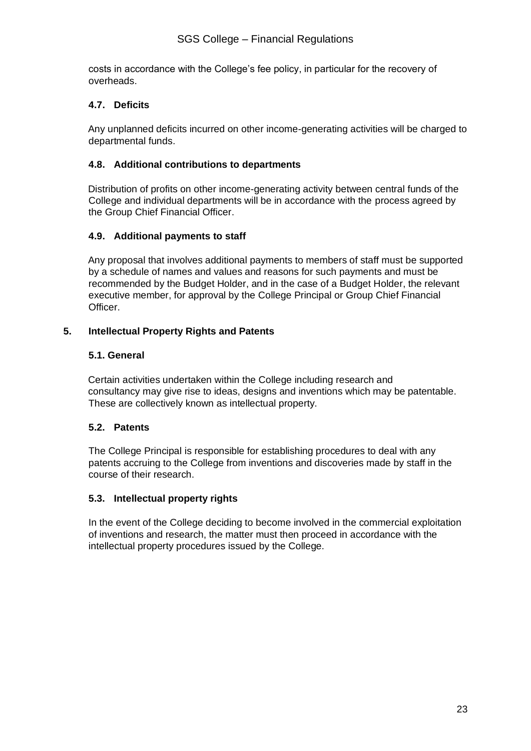costs in accordance with the College's fee policy, in particular for the recovery of overheads.

#### **4.7. Deficits**

Any unplanned deficits incurred on other income-generating activities will be charged to departmental funds.

#### **4.8. Additional contributions to departments**

Distribution of profits on other income-generating activity between central funds of the College and individual departments will be in accordance with the process agreed by the Group Chief Financial Officer.

#### **4.9. Additional payments to staff**

Any proposal that involves additional payments to members of staff must be supported by a schedule of names and values and reasons for such payments and must be recommended by the Budget Holder, and in the case of a Budget Holder, the relevant executive member, for approval by the College Principal or Group Chief Financial Officer.

#### **5. Intellectual Property Rights and Patents**

#### **5.1. General**

Certain activities undertaken within the College including research and consultancy may give rise to ideas, designs and inventions which may be patentable. These are collectively known as intellectual property.

#### **5.2. Patents**

The College Principal is responsible for establishing procedures to deal with any patents accruing to the College from inventions and discoveries made by staff in the course of their research.

#### **5.3. Intellectual property rights**

In the event of the College deciding to become involved in the commercial exploitation of inventions and research, the matter must then proceed in accordance with the intellectual property procedures issued by the College.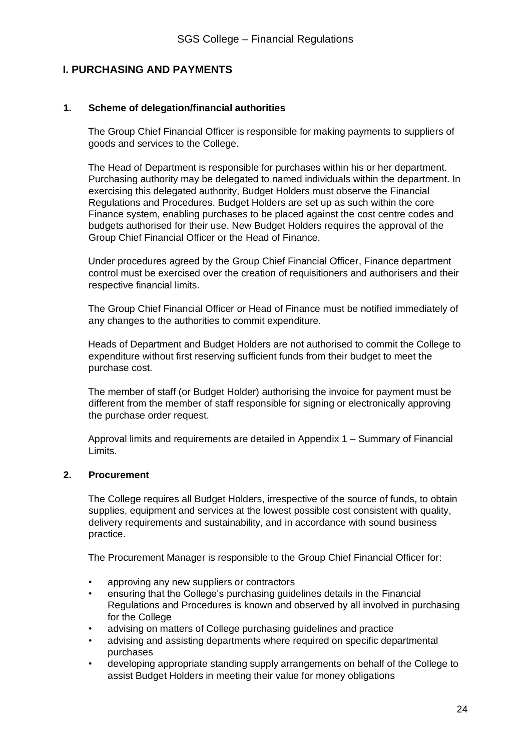#### **I. PURCHASING AND PAYMENTS**

#### **1. Scheme of delegation/financial authorities**

The Group Chief Financial Officer is responsible for making payments to suppliers of goods and services to the College.

The Head of Department is responsible for purchases within his or her department. Purchasing authority may be delegated to named individuals within the department. In exercising this delegated authority, Budget Holders must observe the Financial Regulations and Procedures. Budget Holders are set up as such within the core Finance system, enabling purchases to be placed against the cost centre codes and budgets authorised for their use. New Budget Holders requires the approval of the Group Chief Financial Officer or the Head of Finance.

Under procedures agreed by the Group Chief Financial Officer, Finance department control must be exercised over the creation of requisitioners and authorisers and their respective financial limits.

The Group Chief Financial Officer or Head of Finance must be notified immediately of any changes to the authorities to commit expenditure.

Heads of Department and Budget Holders are not authorised to commit the College to expenditure without first reserving sufficient funds from their budget to meet the purchase cost.

The member of staff (or Budget Holder) authorising the invoice for payment must be different from the member of staff responsible for signing or electronically approving the purchase order request.

Approval limits and requirements are detailed in Appendix 1 – Summary of Financial Limits.

#### **2. Procurement**

The College requires all Budget Holders, irrespective of the source of funds, to obtain supplies, equipment and services at the lowest possible cost consistent with quality, delivery requirements and sustainability, and in accordance with sound business practice.

The Procurement Manager is responsible to the Group Chief Financial Officer for:

- approving any new suppliers or contractors
- ensuring that the College's purchasing guidelines details in the Financial Regulations and Procedures is known and observed by all involved in purchasing for the College
- advising on matters of College purchasing guidelines and practice
- advising and assisting departments where required on specific departmental purchases
- developing appropriate standing supply arrangements on behalf of the College to assist Budget Holders in meeting their value for money obligations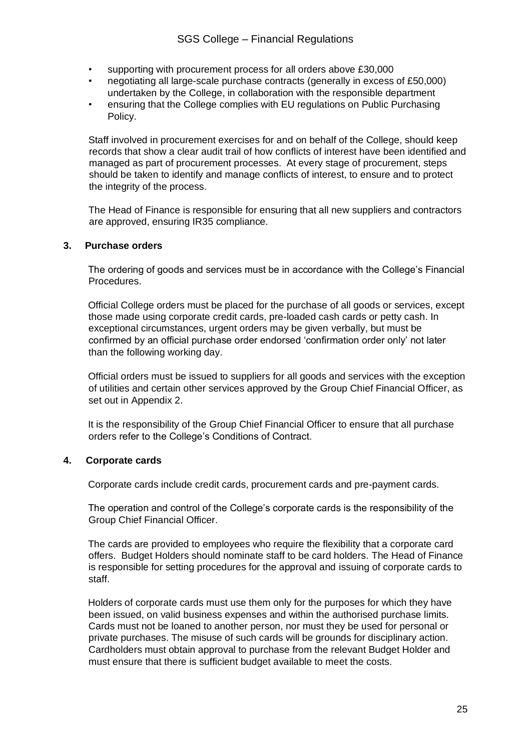- supporting with procurement process for all orders above £30,000
- negotiating all large-scale purchase contracts (generally in excess of £50,000) undertaken by the College, in collaboration with the responsible department
- ensuring that the College complies with EU regulations on Public Purchasing Policy.

Staff involved in procurement exercises for and on behalf of the College, should keep records that show a clear audit trail of how conflicts of interest have been identified and managed as part of procurement processes. At every stage of procurement, steps should be taken to identify and manage conflicts of interest, to ensure and to protect the integrity of the process.

The Head of Finance is responsible for ensuring that all new suppliers and contractors are approved, ensuring IR35 compliance.

#### **3. Purchase orders**

The ordering of goods and services must be in accordance with the College's Financial Procedures.

Official College orders must be placed for the purchase of all goods or services, except those made using corporate credit cards, pre-loaded cash cards or petty cash. In exceptional circumstances, urgent orders may be given verbally, but must be confirmed by an official purchase order endorsed 'confirmation order only' not later than the following working day.

Official orders must be issued to suppliers for all goods and services with the exception of utilities and certain other services approved by the Group Chief Financial Officer, as set out in Appendix 2.

It is the responsibility of the Group Chief Financial Officer to ensure that all purchase orders refer to the College's Conditions of Contract.

#### **4. Corporate cards**

Corporate cards include credit cards, procurement cards and pre-payment cards.

The operation and control of the College's corporate cards is the responsibility of the Group Chief Financial Officer.

The cards are provided to employees who require the flexibility that a corporate card offers. Budget Holders should nominate staff to be card holders. The Head of Finance is responsible for setting procedures for the approval and issuing of corporate cards to staff.

Holders of corporate cards must use them only for the purposes for which they have been issued, on valid business expenses and within the authorised purchase limits. Cards must not be loaned to another person, nor must they be used for personal or private purchases. The misuse of such cards will be grounds for disciplinary action. Cardholders must obtain approval to purchase from the relevant Budget Holder and must ensure that there is sufficient budget available to meet the costs.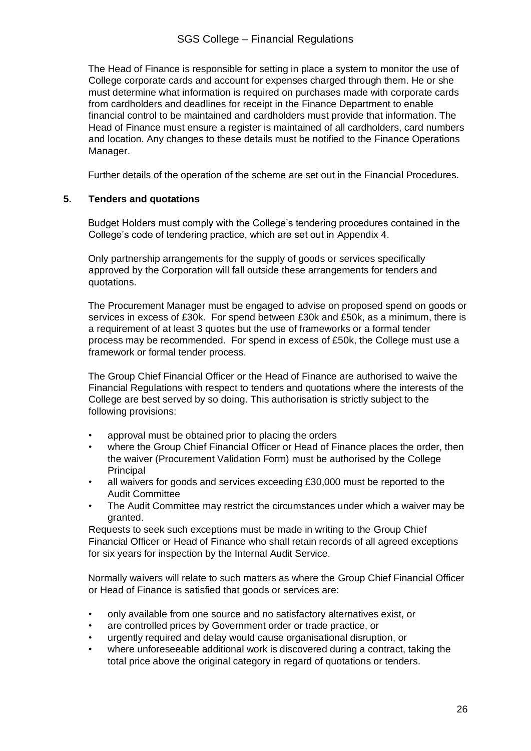#### SGS College – Financial Regulations

The Head of Finance is responsible for setting in place a system to monitor the use of College corporate cards and account for expenses charged through them. He or she must determine what information is required on purchases made with corporate cards from cardholders and deadlines for receipt in the Finance Department to enable financial control to be maintained and cardholders must provide that information. The Head of Finance must ensure a register is maintained of all cardholders, card numbers and location. Any changes to these details must be notified to the Finance Operations Manager.

Further details of the operation of the scheme are set out in the Financial Procedures.

#### **5. Tenders and quotations**

Budget Holders must comply with the College's tendering procedures contained in the College's code of tendering practice, which are set out in Appendix 4.

Only partnership arrangements for the supply of goods or services specifically approved by the Corporation will fall outside these arrangements for tenders and quotations.

The Procurement Manager must be engaged to advise on proposed spend on goods or services in excess of £30k. For spend between £30k and £50k, as a minimum, there is a requirement of at least 3 quotes but the use of frameworks or a formal tender process may be recommended. For spend in excess of £50k, the College must use a framework or formal tender process.

The Group Chief Financial Officer or the Head of Finance are authorised to waive the Financial Regulations with respect to tenders and quotations where the interests of the College are best served by so doing. This authorisation is strictly subject to the following provisions:

- approval must be obtained prior to placing the orders
- where the Group Chief Financial Officer or Head of Finance places the order, then the waiver (Procurement Validation Form) must be authorised by the College Principal
- all waivers for goods and services exceeding £30,000 must be reported to the Audit Committee
- The Audit Committee may restrict the circumstances under which a waiver may be granted.

Requests to seek such exceptions must be made in writing to the Group Chief Financial Officer or Head of Finance who shall retain records of all agreed exceptions for six years for inspection by the Internal Audit Service.

Normally waivers will relate to such matters as where the Group Chief Financial Officer or Head of Finance is satisfied that goods or services are:

- only available from one source and no satisfactory alternatives exist, or
- are controlled prices by Government order or trade practice, or
- urgently required and delay would cause organisational disruption, or
- where unforeseeable additional work is discovered during a contract, taking the total price above the original category in regard of quotations or tenders.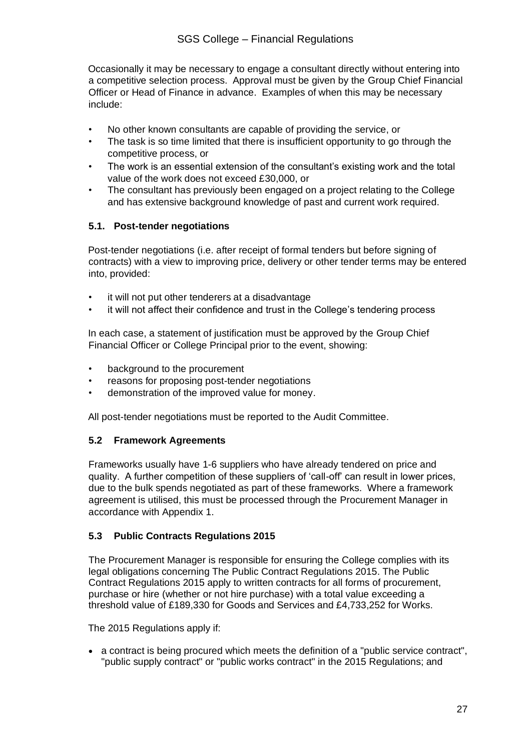Occasionally it may be necessary to engage a consultant directly without entering into a competitive selection process. Approval must be given by the Group Chief Financial Officer or Head of Finance in advance. Examples of when this may be necessary include:

- No other known consultants are capable of providing the service, or
- The task is so time limited that there is insufficient opportunity to go through the competitive process, or
- The work is an essential extension of the consultant's existing work and the total value of the work does not exceed £30,000, or
- The consultant has previously been engaged on a project relating to the College and has extensive background knowledge of past and current work required.

#### **5.1. Post-tender negotiations**

Post-tender negotiations (i.e. after receipt of formal tenders but before signing of contracts) with a view to improving price, delivery or other tender terms may be entered into, provided:

- it will not put other tenderers at a disadvantage
- it will not affect their confidence and trust in the College's tendering process

In each case, a statement of justification must be approved by the Group Chief Financial Officer or College Principal prior to the event, showing:

- background to the procurement
- reasons for proposing post-tender negotiations
- demonstration of the improved value for money.

All post-tender negotiations must be reported to the Audit Committee.

#### **5.2 Framework Agreements**

Frameworks usually have 1-6 suppliers who have already tendered on price and quality. A further competition of these suppliers of 'call-off' can result in lower prices, due to the bulk spends negotiated as part of these frameworks. Where a framework agreement is utilised, this must be processed through the Procurement Manager in accordance with Appendix 1.

#### **5.3 Public Contracts Regulations 2015**

The Procurement Manager is responsible for ensuring the College complies with its legal obligations concerning The Public Contract Regulations 2015. The Public Contract Regulations 2015 apply to written contracts for all forms of procurement, purchase or hire (whether or not hire purchase) with a total value exceeding a threshold value of £189,330 for Goods and Services and £4,733,252 for Works.

The 2015 Regulations apply if:

• a contract is being procured which meets the definition of a "public service contract", "public supply contract" or "public works contract" in the 2015 Regulations; and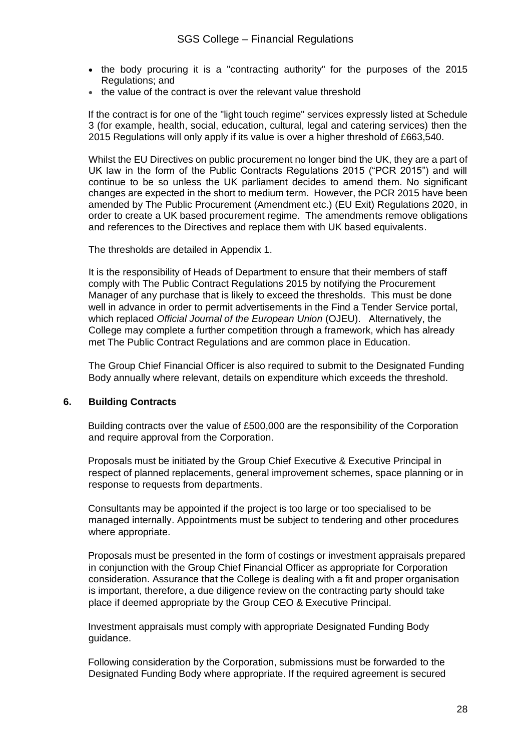- the body procuring it is a "contracting authority" for the purposes of the 2015 Regulations; and
- the value of the contract is over the [relevant value threshold](https://www.procurementportal.com/resources/faq/thresholds-under-the-public-contracts)

If the contract is for one of the "light touch regime" services expressly listed at Schedule 3 (for example, health, social, education, cultural, legal and catering services) then the 2015 Regulations will only apply if its value is over a higher threshold of £663,540.

Whilst the EU Directives on public procurement no longer bind the UK, they are a part of UK law in the form of the Public Contracts Regulations 2015 ("PCR 2015") and will continue to be so unless the UK parliament decides to amend them. No significant changes are expected in the short to medium term. However, the PCR 2015 have been amended by [The Public Procurement \(Amendment etc.\) \(EU Exit\) Regulations 2020,](https://www.legislation.gov.uk/uksi/2020/1319/contents/made) in order to create a UK based procurement regime. The amendments remove obligations and references to the Directives and replace them with UK based equivalents.

The thresholds are detailed in Appendix 1.

It is the responsibility of Heads of Department to ensure that their members of staff comply with The Public Contract Regulations 2015 by notifying the Procurement Manager of any purchase that is likely to exceed the thresholds. This must be done well in advance in order to permit advertisements in the Find a Tender Service portal, which replaced *Official Journal of the European Union* (OJEU). Alternatively, the College may complete a further competition through a framework, which has already met The Public Contract Regulations and are common place in Education.

The Group Chief Financial Officer is also required to submit to the Designated Funding Body annually where relevant, details on expenditure which exceeds the threshold.

#### **6. Building Contracts**

Building contracts over the value of £500,000 are the responsibility of the Corporation and require approval from the Corporation.

Proposals must be initiated by the Group Chief Executive & Executive Principal in respect of planned replacements, general improvement schemes, space planning or in response to requests from departments.

Consultants may be appointed if the project is too large or too specialised to be managed internally. Appointments must be subject to tendering and other procedures where appropriate.

Proposals must be presented in the form of costings or investment appraisals prepared in conjunction with the Group Chief Financial Officer as appropriate for Corporation consideration. Assurance that the College is dealing with a fit and proper organisation is important, therefore, a due diligence review on the contracting party should take place if deemed appropriate by the Group CEO & Executive Principal.

Investment appraisals must comply with appropriate Designated Funding Body guidance.

Following consideration by the Corporation, submissions must be forwarded to the Designated Funding Body where appropriate. If the required agreement is secured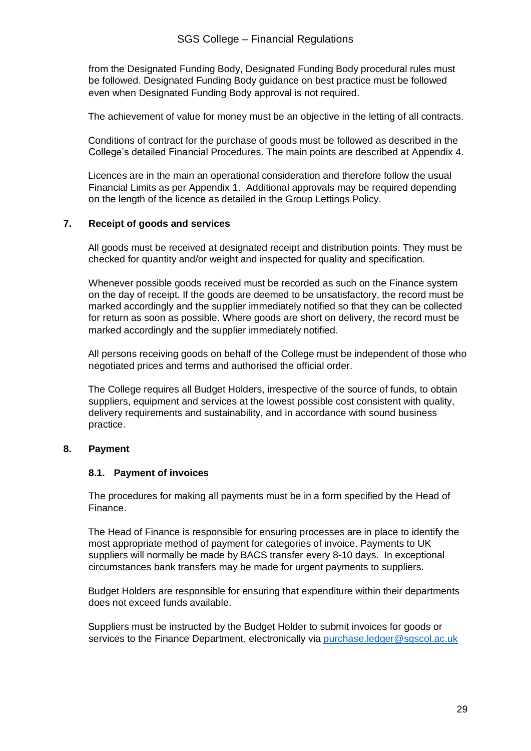from the Designated Funding Body, Designated Funding Body procedural rules must be followed. Designated Funding Body guidance on best practice must be followed even when Designated Funding Body approval is not required.

The achievement of value for money must be an objective in the letting of all contracts.

Conditions of contract for the purchase of goods must be followed as described in the College's detailed Financial Procedures. The main points are described at Appendix 4.

Licences are in the main an operational consideration and therefore follow the usual Financial Limits as per Appendix 1. Additional approvals may be required depending on the length of the licence as detailed in the Group Lettings Policy.

#### **7. Receipt of goods and services**

All goods must be received at designated receipt and distribution points. They must be checked for quantity and/or weight and inspected for quality and specification.

Whenever possible goods received must be recorded as such on the Finance system on the day of receipt. If the goods are deemed to be unsatisfactory, the record must be marked accordingly and the supplier immediately notified so that they can be collected for return as soon as possible. Where goods are short on delivery, the record must be marked accordingly and the supplier immediately notified.

All persons receiving goods on behalf of the College must be independent of those who negotiated prices and terms and authorised the official order.

The College requires all Budget Holders, irrespective of the source of funds, to obtain suppliers, equipment and services at the lowest possible cost consistent with quality, delivery requirements and sustainability, and in accordance with sound business practice.

#### **8. Payment**

#### **8.1. Payment of invoices**

The procedures for making all payments must be in a form specified by the Head of Finance.

The Head of Finance is responsible for ensuring processes are in place to identify the most appropriate method of payment for categories of invoice. Payments to UK suppliers will normally be made by BACS transfer every 8-10 days. In exceptional circumstances bank transfers may be made for urgent payments to suppliers.

Budget Holders are responsible for ensuring that expenditure within their departments does not exceed funds available.

Suppliers must be instructed by the Budget Holder to submit invoices for goods or services to the Finance Department, electronically via [purchase.ledger@sgscol.ac.uk](https://sgscol.sharepoint.com/:w:/r/sites/staff/DataHub/_layouts/15/Doc.aspx)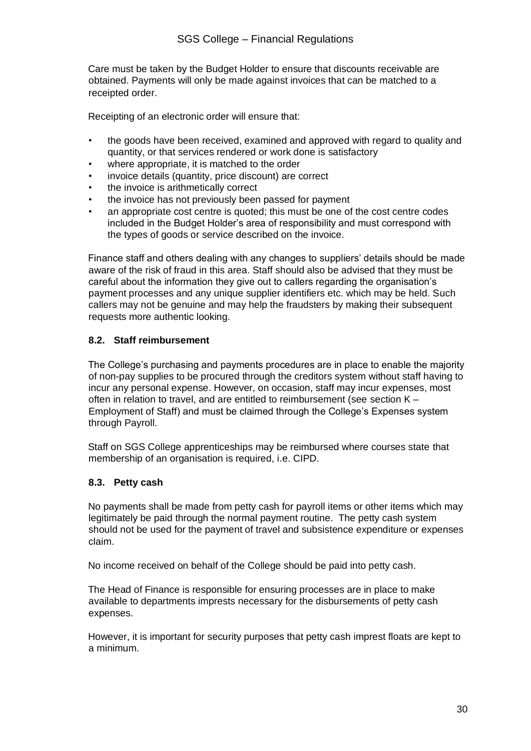Care must be taken by the Budget Holder to ensure that discounts receivable are obtained. Payments will only be made against invoices that can be matched to a receipted order.

Receipting of an electronic order will ensure that:

- the goods have been received, examined and approved with regard to quality and quantity, or that services rendered or work done is satisfactory
- where appropriate, it is matched to the order
- invoice details (quantity, price discount) are correct
- the invoice is arithmetically correct
- the invoice has not previously been passed for payment
- an appropriate cost centre is quoted; this must be one of the cost centre codes included in the Budget Holder's area of responsibility and must correspond with the types of goods or service described on the invoice.

Finance staff and others dealing with any changes to suppliers' details should be made aware of the risk of fraud in this area. Staff should also be advised that they must be careful about the information they give out to callers regarding the organisation's payment processes and any unique supplier identifiers etc. which may be held. Such callers may not be genuine and may help the fraudsters by making their subsequent requests more authentic looking.

#### **8.2. Staff reimbursement**

The College's purchasing and payments procedures are in place to enable the majority of non-pay supplies to be procured through the creditors system without staff having to incur any personal expense. However, on occasion, staff may incur expenses, most often in relation to travel, and are entitled to reimbursement (see section K – Employment of Staff) and must be claimed through the College's Expenses system through Payroll.

Staff on SGS College apprenticeships may be reimbursed where courses state that membership of an organisation is required, i.e. CIPD.

#### **8.3. Petty cash**

No payments shall be made from petty cash for payroll items or other items which may legitimately be paid through the normal payment routine. The petty cash system should not be used for the payment of travel and subsistence expenditure or expenses claim.

No income received on behalf of the College should be paid into petty cash.

The Head of Finance is responsible for ensuring processes are in place to make available to departments imprests necessary for the disbursements of petty cash expenses.

However, it is important for security purposes that petty cash imprest floats are kept to a minimum.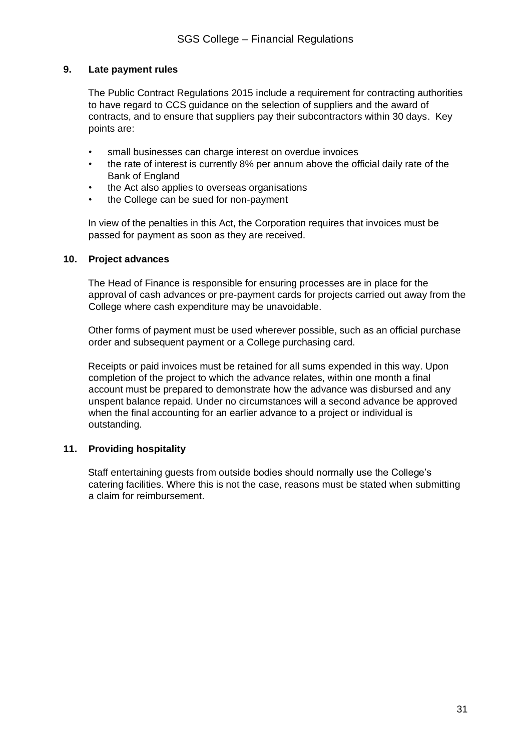#### **9. Late payment rules**

The Public Contract Regulations 2015 include a requirement for contracting authorities to have regard to CCS guidance on the selection of suppliers and the award of contracts, and to ensure that suppliers pay their subcontractors within 30 days. Key points are:

- small businesses can charge interest on overdue invoices
- the rate of interest is currently 8% per annum above the official daily rate of the Bank of England
- the Act also applies to overseas organisations
- the College can be sued for non-payment

In view of the penalties in this Act, the Corporation requires that invoices must be passed for payment as soon as they are received.

#### **10. Project advances**

The Head of Finance is responsible for ensuring processes are in place for the approval of cash advances or pre-payment cards for projects carried out away from the College where cash expenditure may be unavoidable.

Other forms of payment must be used wherever possible, such as an official purchase order and subsequent payment or a College purchasing card.

Receipts or paid invoices must be retained for all sums expended in this way. Upon completion of the project to which the advance relates, within one month a final account must be prepared to demonstrate how the advance was disbursed and any unspent balance repaid. Under no circumstances will a second advance be approved when the final accounting for an earlier advance to a project or individual is outstanding.

#### **11. Providing hospitality**

Staff entertaining guests from outside bodies should normally use the College's catering facilities. Where this is not the case, reasons must be stated when submitting a claim for reimbursement.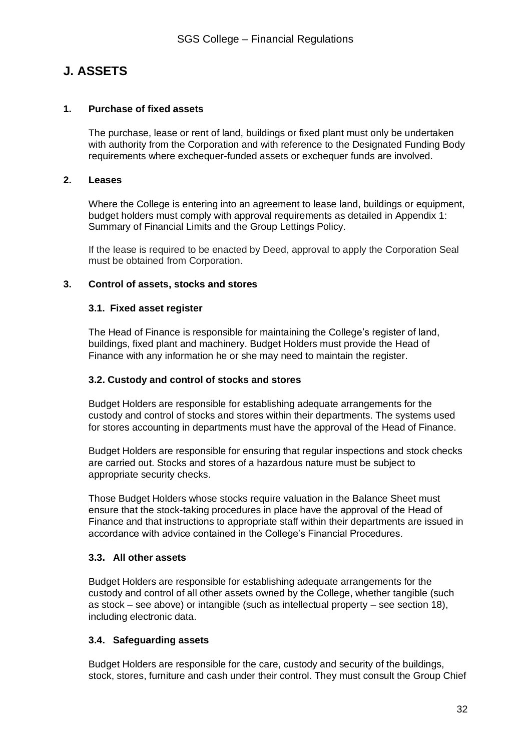### **J. ASSETS**

#### **1. Purchase of fixed assets**

The purchase, lease or rent of land, buildings or fixed plant must only be undertaken with authority from the Corporation and with reference to the Designated Funding Body requirements where exchequer-funded assets or exchequer funds are involved.

#### **2. Leases**

Where the College is entering into an agreement to lease land, buildings or equipment, budget holders must comply with approval requirements as detailed in Appendix 1: Summary of Financial Limits and the Group Lettings Policy.

If the lease is required to be enacted by Deed, approval to apply the Corporation Seal must be obtained from Corporation.

#### **3. Control of assets, stocks and stores**

#### **3.1. Fixed asset register**

The Head of Finance is responsible for maintaining the College's register of land, buildings, fixed plant and machinery. Budget Holders must provide the Head of Finance with any information he or she may need to maintain the register.

#### **3.2. Custody and control of stocks and stores**

Budget Holders are responsible for establishing adequate arrangements for the custody and control of stocks and stores within their departments. The systems used for stores accounting in departments must have the approval of the Head of Finance.

Budget Holders are responsible for ensuring that regular inspections and stock checks are carried out. Stocks and stores of a hazardous nature must be subject to appropriate security checks.

Those Budget Holders whose stocks require valuation in the Balance Sheet must ensure that the stock-taking procedures in place have the approval of the Head of Finance and that instructions to appropriate staff within their departments are issued in accordance with advice contained in the College's Financial Procedures.

#### **3.3. All other assets**

Budget Holders are responsible for establishing adequate arrangements for the custody and control of all other assets owned by the College, whether tangible (such as stock – see above) or intangible (such as intellectual property – see section 18), including electronic data.

#### **3.4. Safeguarding assets**

Budget Holders are responsible for the care, custody and security of the buildings, stock, stores, furniture and cash under their control. They must consult the Group Chief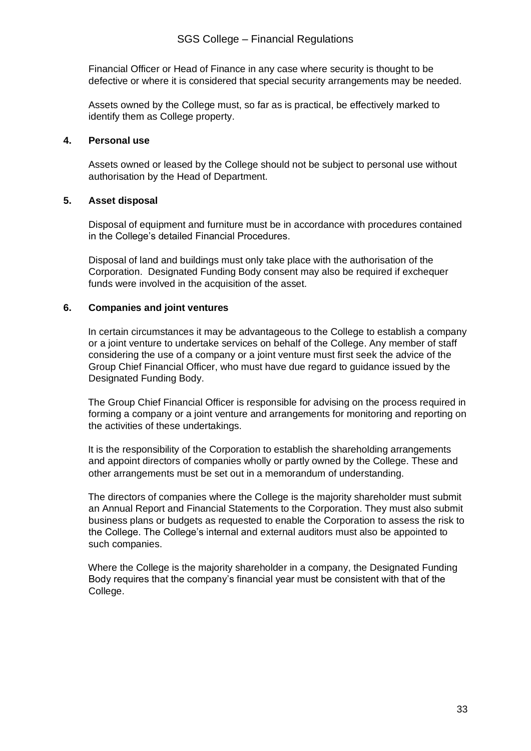Financial Officer or Head of Finance in any case where security is thought to be defective or where it is considered that special security arrangements may be needed.

Assets owned by the College must, so far as is practical, be effectively marked to identify them as College property.

#### **4. Personal use**

Assets owned or leased by the College should not be subject to personal use without authorisation by the Head of Department.

#### **5. Asset disposal**

Disposal of equipment and furniture must be in accordance with procedures contained in the College's detailed Financial Procedures.

Disposal of land and buildings must only take place with the authorisation of the Corporation. Designated Funding Body consent may also be required if exchequer funds were involved in the acquisition of the asset.

#### **6. Companies and joint ventures**

In certain circumstances it may be advantageous to the College to establish a company or a joint venture to undertake services on behalf of the College. Any member of staff considering the use of a company or a joint venture must first seek the advice of the Group Chief Financial Officer, who must have due regard to guidance issued by the Designated Funding Body.

The Group Chief Financial Officer is responsible for advising on the process required in forming a company or a joint venture and arrangements for monitoring and reporting on the activities of these undertakings.

It is the responsibility of the Corporation to establish the shareholding arrangements and appoint directors of companies wholly or partly owned by the College. These and other arrangements must be set out in a memorandum of understanding.

The directors of companies where the College is the majority shareholder must submit an Annual Report and Financial Statements to the Corporation. They must also submit business plans or budgets as requested to enable the Corporation to assess the risk to the College. The College's internal and external auditors must also be appointed to such companies.

Where the College is the majority shareholder in a company, the Designated Funding Body requires that the company's financial year must be consistent with that of the College.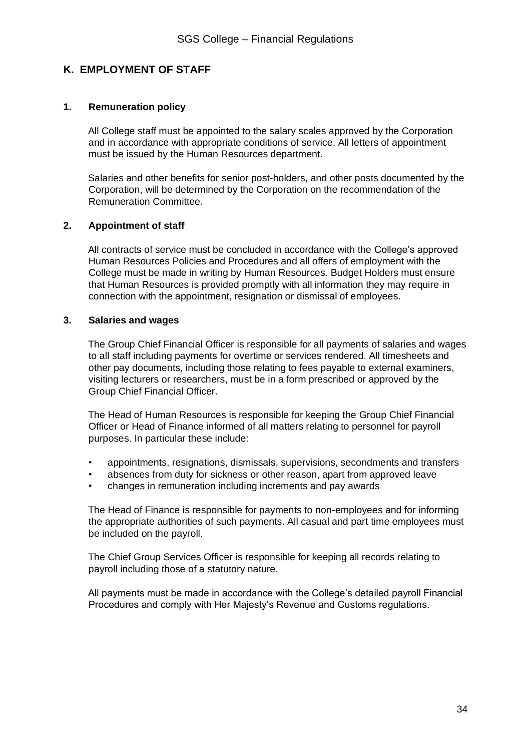#### **K. EMPLOYMENT OF STAFF**

#### **1. Remuneration policy**

All College staff must be appointed to the salary scales approved by the Corporation and in accordance with appropriate conditions of service. All letters of appointment must be issued by the Human Resources department.

Salaries and other benefits for senior post-holders, and other posts documented by the Corporation, will be determined by the Corporation on the recommendation of the Remuneration Committee.

#### **2. Appointment of staff**

All contracts of service must be concluded in accordance with the College's approved Human Resources Policies and Procedures and all offers of employment with the College must be made in writing by Human Resources. Budget Holders must ensure that Human Resources is provided promptly with all information they may require in connection with the appointment, resignation or dismissal of employees.

#### **3. Salaries and wages**

The Group Chief Financial Officer is responsible for all payments of salaries and wages to all staff including payments for overtime or services rendered. All timesheets and other pay documents, including those relating to fees payable to external examiners, visiting lecturers or researchers, must be in a form prescribed or approved by the Group Chief Financial Officer.

The Head of Human Resources is responsible for keeping the Group Chief Financial Officer or Head of Finance informed of all matters relating to personnel for payroll purposes. In particular these include:

- appointments, resignations, dismissals, supervisions, secondments and transfers
- absences from duty for sickness or other reason, apart from approved leave
- changes in remuneration including increments and pay awards

The Head of Finance is responsible for payments to non-employees and for informing the appropriate authorities of such payments. All casual and part time employees must be included on the payroll.

The Chief Group Services Officer is responsible for keeping all records relating to payroll including those of a statutory nature.

All payments must be made in accordance with the College's detailed payroll Financial Procedures and comply with Her Majesty's Revenue and Customs regulations.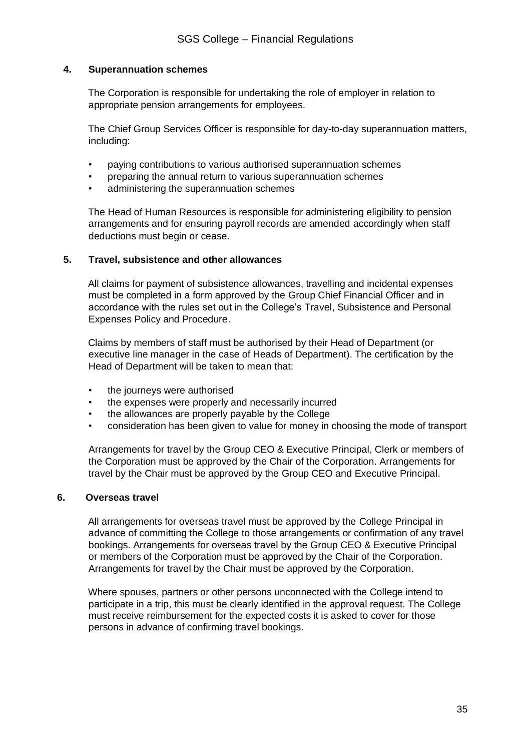#### **4. Superannuation schemes**

The Corporation is responsible for undertaking the role of employer in relation to appropriate pension arrangements for employees.

The Chief Group Services Officer is responsible for day-to-day superannuation matters, including:

- paying contributions to various authorised superannuation schemes
- preparing the annual return to various superannuation schemes
- administering the superannuation schemes

The Head of Human Resources is responsible for administering eligibility to pension arrangements and for ensuring payroll records are amended accordingly when staff deductions must begin or cease.

#### **5. Travel, subsistence and other allowances**

All claims for payment of subsistence allowances, travelling and incidental expenses must be completed in a form approved by the Group Chief Financial Officer and in accordance with the rules set out in the College's Travel, Subsistence and Personal Expenses Policy and Procedure.

Claims by members of staff must be authorised by their Head of Department (or executive line manager in the case of Heads of Department). The certification by the Head of Department will be taken to mean that:

- the journeys were authorised
- the expenses were properly and necessarily incurred
- the allowances are properly payable by the College
- consideration has been given to value for money in choosing the mode of transport

Arrangements for travel by the Group CEO & Executive Principal, Clerk or members of the Corporation must be approved by the Chair of the Corporation. Arrangements for travel by the Chair must be approved by the Group CEO and Executive Principal.

#### **6. Overseas travel**

All arrangements for overseas travel must be approved by the College Principal in advance of committing the College to those arrangements or confirmation of any travel bookings. Arrangements for overseas travel by the Group CEO & Executive Principal or members of the Corporation must be approved by the Chair of the Corporation. Arrangements for travel by the Chair must be approved by the Corporation.

Where spouses, partners or other persons unconnected with the College intend to participate in a trip, this must be clearly identified in the approval request. The College must receive reimbursement for the expected costs it is asked to cover for those persons in advance of confirming travel bookings.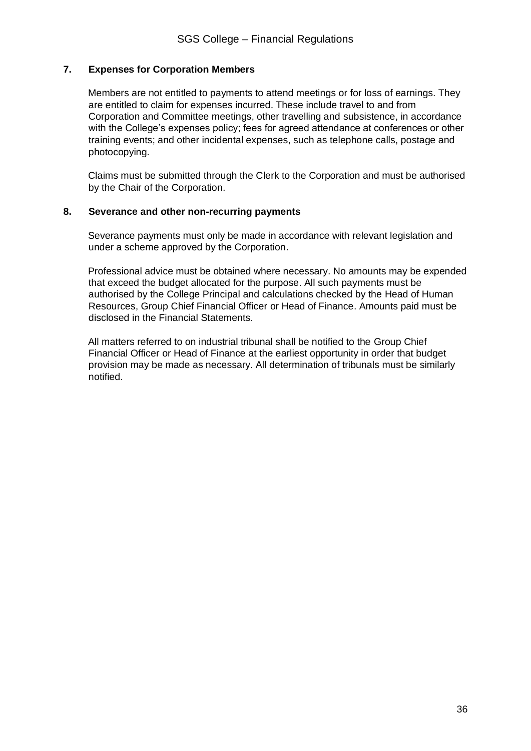#### **7. Expenses for Corporation Members**

Members are not entitled to payments to attend meetings or for loss of earnings. They are entitled to claim for expenses incurred. These include travel to and from Corporation and Committee meetings, other travelling and subsistence, in accordance with the College's expenses policy; fees for agreed attendance at conferences or other training events; and other incidental expenses, such as telephone calls, postage and photocopying.

Claims must be submitted through the Clerk to the Corporation and must be authorised by the Chair of the Corporation.

#### **8. Severance and other non-recurring payments**

Severance payments must only be made in accordance with relevant legislation and under a scheme approved by the Corporation.

Professional advice must be obtained where necessary. No amounts may be expended that exceed the budget allocated for the purpose. All such payments must be authorised by the College Principal and calculations checked by the Head of Human Resources, Group Chief Financial Officer or Head of Finance. Amounts paid must be disclosed in the Financial Statements.

All matters referred to on industrial tribunal shall be notified to the Group Chief Financial Officer or Head of Finance at the earliest opportunity in order that budget provision may be made as necessary. All determination of tribunals must be similarly notified.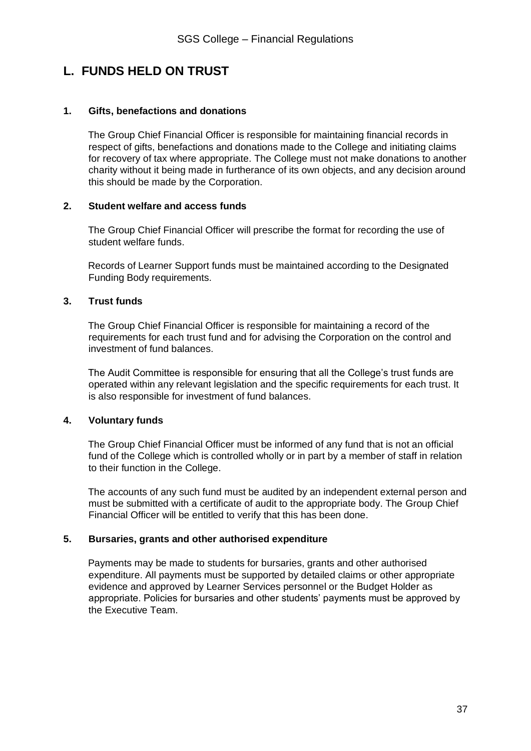### **L. FUNDS HELD ON TRUST**

#### **1. Gifts, benefactions and donations**

The Group Chief Financial Officer is responsible for maintaining financial records in respect of gifts, benefactions and donations made to the College and initiating claims for recovery of tax where appropriate. The College must not make donations to another charity without it being made in furtherance of its own objects, and any decision around this should be made by the Corporation.

#### **2. Student welfare and access funds**

The Group Chief Financial Officer will prescribe the format for recording the use of student welfare funds.

Records of Learner Support funds must be maintained according to the Designated Funding Body requirements.

#### **3. Trust funds**

The Group Chief Financial Officer is responsible for maintaining a record of the requirements for each trust fund and for advising the Corporation on the control and investment of fund balances.

The Audit Committee is responsible for ensuring that all the College's trust funds are operated within any relevant legislation and the specific requirements for each trust. It is also responsible for investment of fund balances.

#### **4. Voluntary funds**

The Group Chief Financial Officer must be informed of any fund that is not an official fund of the College which is controlled wholly or in part by a member of staff in relation to their function in the College.

The accounts of any such fund must be audited by an independent external person and must be submitted with a certificate of audit to the appropriate body. The Group Chief Financial Officer will be entitled to verify that this has been done.

#### **5. Bursaries, grants and other authorised expenditure**

Payments may be made to students for bursaries, grants and other authorised expenditure. All payments must be supported by detailed claims or other appropriate evidence and approved by Learner Services personnel or the Budget Holder as appropriate. Policies for bursaries and other students' payments must be approved by the Executive Team.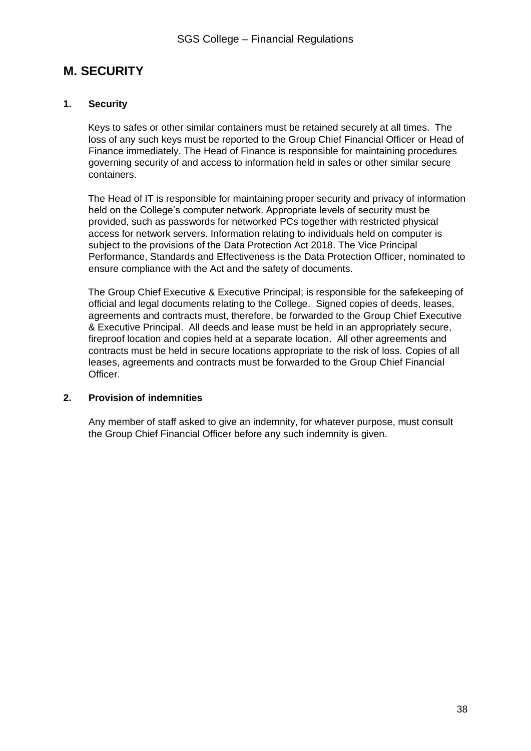### **M. SECURITY**

#### **1. Security**

Keys to safes or other similar containers must be retained securely at all times. The loss of any such keys must be reported to the Group Chief Financial Officer or Head of Finance immediately. The Head of Finance is responsible for maintaining procedures governing security of and access to information held in safes or other similar secure containers.

The Head of IT is responsible for maintaining proper security and privacy of information held on the College's computer network. Appropriate levels of security must be provided, such as passwords for networked PCs together with restricted physical access for network servers. Information relating to individuals held on computer is subject to the provisions of the Data Protection Act 2018. The Vice Principal Performance, Standards and Effectiveness is the Data Protection Officer, nominated to ensure compliance with the Act and the safety of documents.

The Group Chief Executive & Executive Principal; is responsible for the safekeeping of official and legal documents relating to the College. Signed copies of deeds, leases, agreements and contracts must, therefore, be forwarded to the Group Chief Executive & Executive Principal. All deeds and lease must be held in an appropriately secure, fireproof location and copies held at a separate location. All other agreements and contracts must be held in secure locations appropriate to the risk of loss. Copies of all leases, agreements and contracts must be forwarded to the Group Chief Financial Officer.

#### **2. Provision of indemnities**

Any member of staff asked to give an indemnity, for whatever purpose, must consult the Group Chief Financial Officer before any such indemnity is given.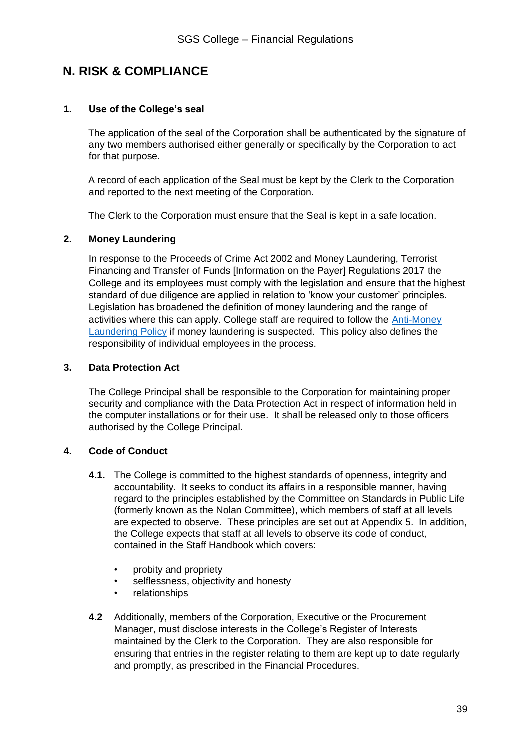### **N. RISK & COMPLIANCE**

#### **1. Use of the College's seal**

The application of the seal of the Corporation shall be authenticated by the signature of any two members authorised either generally or specifically by the Corporation to act for that purpose.

A record of each application of the Seal must be kept by the Clerk to the Corporation and reported to the next meeting of the Corporation.

The Clerk to the Corporation must ensure that the Seal is kept in a safe location.

#### **2. Money Laundering**

In response to the Proceeds of Crime Act 2002 and Money Laundering, Terrorist Financing and Transfer of Funds [Information on the Payer] Regulations 2017 the College and its employees must comply with the legislation and ensure that the highest standard of due diligence are applied in relation to 'know your customer' principles. Legislation has broadened the definition of money laundering and the range of activities where this can apply. College staff are required to follow the [Anti-Money](https://sgscol.sharepoint.com/:w:/r/sites/staff/DataHub/_layouts/15/Doc.aspx?sourcedoc=%7B7522FD43-EE81-41DB-95DD-0985CA0EA7CC%7D&file=Anti-Money%20Laundering.docx&action=default&mobileredirect=true&DefaultItemOpen=1)  [Laundering Policy](https://sgscol.sharepoint.com/:w:/r/sites/staff/DataHub/_layouts/15/Doc.aspx?sourcedoc=%7B7522FD43-EE81-41DB-95DD-0985CA0EA7CC%7D&file=Anti-Money%20Laundering.docx&action=default&mobileredirect=true&DefaultItemOpen=1) if money laundering is suspected. This policy also defines the responsibility of individual employees in the process.

#### **3. Data Protection Act**

The College Principal shall be responsible to the Corporation for maintaining proper security and compliance with the Data Protection Act in respect of information held in the computer installations or for their use. It shall be released only to those officers authorised by the College Principal.

#### **4. Code of Conduct**

- **4.1.** The College is committed to the highest standards of openness, integrity and accountability. It seeks to conduct its affairs in a responsible manner, having regard to the principles established by the Committee on Standards in Public Life (formerly known as the Nolan Committee), which members of staff at all levels are expected to observe. These principles are set out at Appendix 5. In addition, the College expects that staff at all levels to observe its code of conduct, contained in the Staff Handbook which covers:
	- probity and propriety
	- selflessness, objectivity and honesty
	- relationships
- **4.2** Additionally, members of the Corporation, Executive or the Procurement Manager, must disclose interests in the College's Register of Interests maintained by the Clerk to the Corporation. They are also responsible for ensuring that entries in the register relating to them are kept up to date regularly and promptly, as prescribed in the Financial Procedures.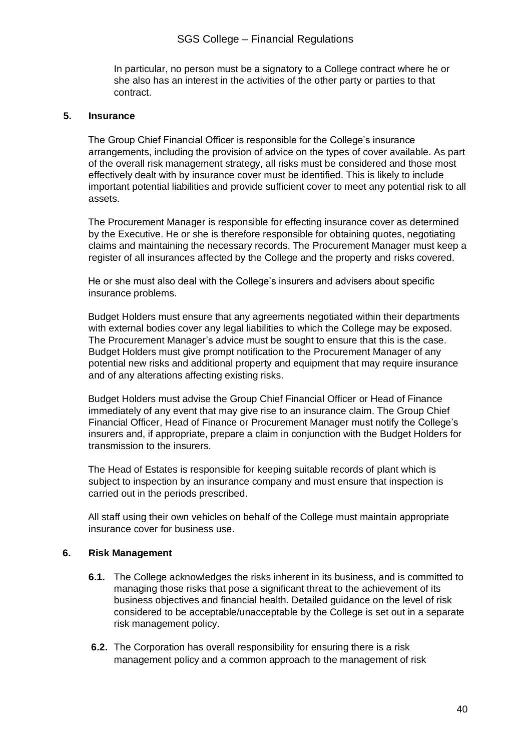In particular, no person must be a signatory to a College contract where he or she also has an interest in the activities of the other party or parties to that contract.

#### **5. Insurance**

The Group Chief Financial Officer is responsible for the College's insurance arrangements, including the provision of advice on the types of cover available. As part of the overall risk management strategy, all risks must be considered and those most effectively dealt with by insurance cover must be identified. This is likely to include important potential liabilities and provide sufficient cover to meet any potential risk to all assets.

The Procurement Manager is responsible for effecting insurance cover as determined by the Executive. He or she is therefore responsible for obtaining quotes, negotiating claims and maintaining the necessary records. The Procurement Manager must keep a register of all insurances affected by the College and the property and risks covered.

He or she must also deal with the College's insurers and advisers about specific insurance problems.

Budget Holders must ensure that any agreements negotiated within their departments with external bodies cover any legal liabilities to which the College may be exposed. The Procurement Manager's advice must be sought to ensure that this is the case. Budget Holders must give prompt notification to the Procurement Manager of any potential new risks and additional property and equipment that may require insurance and of any alterations affecting existing risks.

Budget Holders must advise the Group Chief Financial Officer or Head of Finance immediately of any event that may give rise to an insurance claim. The Group Chief Financial Officer, Head of Finance or Procurement Manager must notify the College's insurers and, if appropriate, prepare a claim in conjunction with the Budget Holders for transmission to the insurers.

The Head of Estates is responsible for keeping suitable records of plant which is subject to inspection by an insurance company and must ensure that inspection is carried out in the periods prescribed.

All staff using their own vehicles on behalf of the College must maintain appropriate insurance cover for business use.

#### **6. Risk Management**

- **6.1.** The College acknowledges the risks inherent in its business, and is committed to managing those risks that pose a significant threat to the achievement of its business objectives and financial health. Detailed guidance on the level of risk considered to be acceptable/unacceptable by the College is set out in a separate risk management policy.
- **6.2.** The Corporation has overall responsibility for ensuring there is a risk management policy and a common approach to the management of risk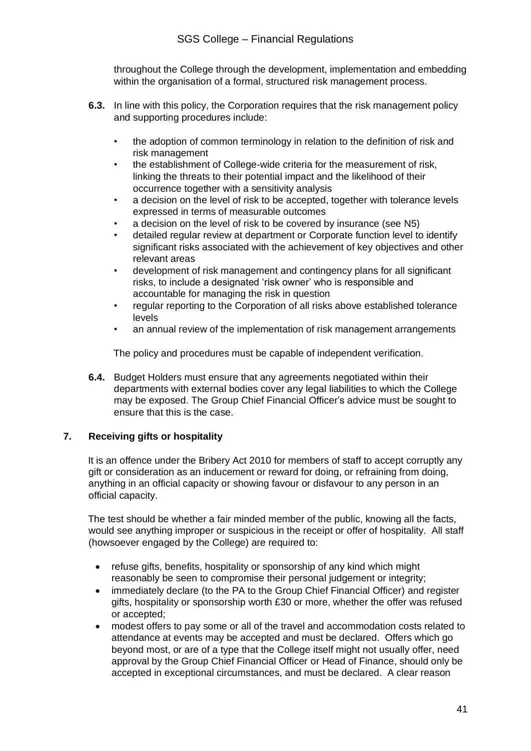throughout the College through the development, implementation and embedding within the organisation of a formal, structured risk management process.

- **6.3.** In line with this policy, the Corporation requires that the risk management policy and supporting procedures include:
	- the adoption of common terminology in relation to the definition of risk and risk management
	- the establishment of College-wide criteria for the measurement of risk, linking the threats to their potential impact and the likelihood of their occurrence together with a sensitivity analysis
	- a decision on the level of risk to be accepted, together with tolerance levels expressed in terms of measurable outcomes
	- a decision on the level of risk to be covered by insurance (see N5)
	- detailed regular review at department or Corporate function level to identify significant risks associated with the achievement of key objectives and other relevant areas
	- development of risk management and contingency plans for all significant risks, to include a designated 'risk owner' who is responsible and accountable for managing the risk in question
	- regular reporting to the Corporation of all risks above established tolerance levels
	- an annual review of the implementation of risk management arrangements

The policy and procedures must be capable of independent verification.

**6.4.** Budget Holders must ensure that any agreements negotiated within their departments with external bodies cover any legal liabilities to which the College may be exposed. The Group Chief Financial Officer's advice must be sought to ensure that this is the case.

#### **7. Receiving gifts or hospitality**

It is an offence under the Bribery Act 2010 for members of staff to accept corruptly any gift or consideration as an inducement or reward for doing, or refraining from doing, anything in an official capacity or showing favour or disfavour to any person in an official capacity.

The test should be whether a fair minded member of the public, knowing all the facts, would see anything improper or suspicious in the receipt or offer of hospitality. All staff (howsoever engaged by the College) are required to:

- refuse gifts, benefits, hospitality or sponsorship of any kind which might reasonably be seen to compromise their personal judgement or integrity;
- immediately declare (to the PA to the Group Chief Financial Officer) and register gifts, hospitality or sponsorship worth £30 or more, whether the offer was refused or accepted;
- modest offers to pay some or all of the travel and accommodation costs related to attendance at events may be accepted and must be declared. Offers which go beyond most, or are of a type that the College itself might not usually offer, need approval by the Group Chief Financial Officer or Head of Finance, should only be accepted in exceptional circumstances, and must be declared. A clear reason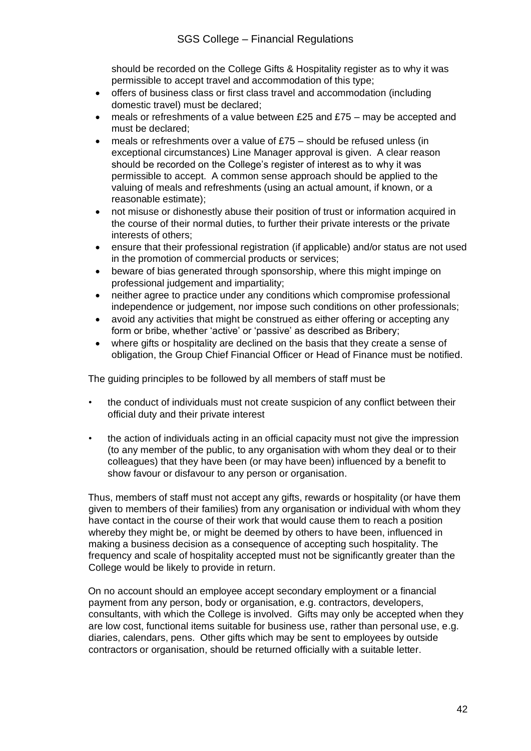should be recorded on the College Gifts & Hospitality register as to why it was permissible to accept travel and accommodation of this type;

- offers of business class or first class travel and accommodation (including domestic travel) must be declared;
- meals or refreshments of a value between £25 and £75 may be accepted and must be declared;
- meals or refreshments over a value of  $£75 -$  should be refused unless (in exceptional circumstances) Line Manager approval is given. A clear reason should be recorded on the College's register of interest as to why it was permissible to accept. A common sense approach should be applied to the valuing of meals and refreshments (using an actual amount, if known, or a reasonable estimate);
- not misuse or dishonestly abuse their position of trust or information acquired in the course of their normal duties, to further their private interests or the private interests of others;
- ensure that their professional registration (if applicable) and/or status are not used in the promotion of commercial products or services;
- beware of bias generated through sponsorship, where this might impinge on professional judgement and impartiality;
- neither agree to practice under any conditions which compromise professional independence or judgement, nor impose such conditions on other professionals;
- avoid any activities that might be construed as either offering or accepting any form or bribe, whether 'active' or 'passive' as described as Bribery;
- where gifts or hospitality are declined on the basis that they create a sense of obligation, the Group Chief Financial Officer or Head of Finance must be notified.

The guiding principles to be followed by all members of staff must be

- the conduct of individuals must not create suspicion of any conflict between their official duty and their private interest
- the action of individuals acting in an official capacity must not give the impression (to any member of the public, to any organisation with whom they deal or to their colleagues) that they have been (or may have been) influenced by a benefit to show favour or disfavour to any person or organisation.

Thus, members of staff must not accept any gifts, rewards or hospitality (or have them given to members of their families) from any organisation or individual with whom they have contact in the course of their work that would cause them to reach a position whereby they might be, or might be deemed by others to have been, influenced in making a business decision as a consequence of accepting such hospitality. The frequency and scale of hospitality accepted must not be significantly greater than the College would be likely to provide in return.

On no account should an employee accept secondary employment or a financial payment from any person, body or organisation, e.g. contractors, developers, consultants, with which the College is involved. Gifts may only be accepted when they are low cost, functional items suitable for business use, rather than personal use, e.g. diaries, calendars, pens. Other gifts which may be sent to employees by outside contractors or organisation, should be returned officially with a suitable letter.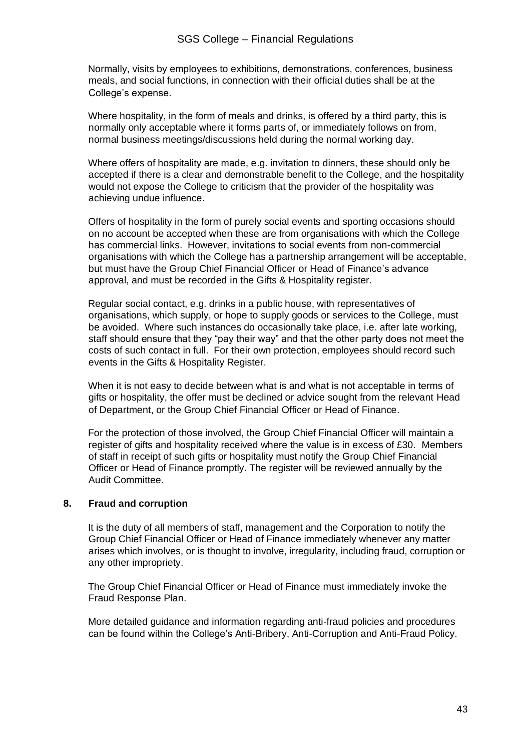#### SGS College – Financial Regulations

Normally, visits by employees to exhibitions, demonstrations, conferences, business meals, and social functions, in connection with their official duties shall be at the College's expense.

Where hospitality, in the form of meals and drinks, is offered by a third party, this is normally only acceptable where it forms parts of, or immediately follows on from, normal business meetings/discussions held during the normal working day.

Where offers of hospitality are made, e.g. invitation to dinners, these should only be accepted if there is a clear and demonstrable benefit to the College, and the hospitality would not expose the College to criticism that the provider of the hospitality was achieving undue influence.

Offers of hospitality in the form of purely social events and sporting occasions should on no account be accepted when these are from organisations with which the College has commercial links. However, invitations to social events from non-commercial organisations with which the College has a partnership arrangement will be acceptable, but must have the Group Chief Financial Officer or Head of Finance's advance approval, and must be recorded in the Gifts & Hospitality register.

Regular social contact, e.g. drinks in a public house, with representatives of organisations, which supply, or hope to supply goods or services to the College, must be avoided. Where such instances do occasionally take place, i.e. after late working, staff should ensure that they "pay their way" and that the other party does not meet the costs of such contact in full. For their own protection, employees should record such events in the Gifts & Hospitality Register.

When it is not easy to decide between what is and what is not acceptable in terms of gifts or hospitality, the offer must be declined or advice sought from the relevant Head of Department, or the Group Chief Financial Officer or Head of Finance.

For the protection of those involved, the Group Chief Financial Officer will maintain a register of gifts and hospitality received where the value is in excess of £30. Members of staff in receipt of such gifts or hospitality must notify the Group Chief Financial Officer or Head of Finance promptly. The register will be reviewed annually by the Audit Committee.

#### **8. Fraud and corruption**

It is the duty of all members of staff, management and the Corporation to notify the Group Chief Financial Officer or Head of Finance immediately whenever any matter arises which involves, or is thought to involve, irregularity, including fraud, corruption or any other impropriety.

The Group Chief Financial Officer or Head of Finance must immediately invoke the Fraud Response Plan.

More detailed guidance and information regarding anti-fraud policies and procedures can be found within the College's Anti-Bribery, Anti-Corruption and Anti-Fraud Policy.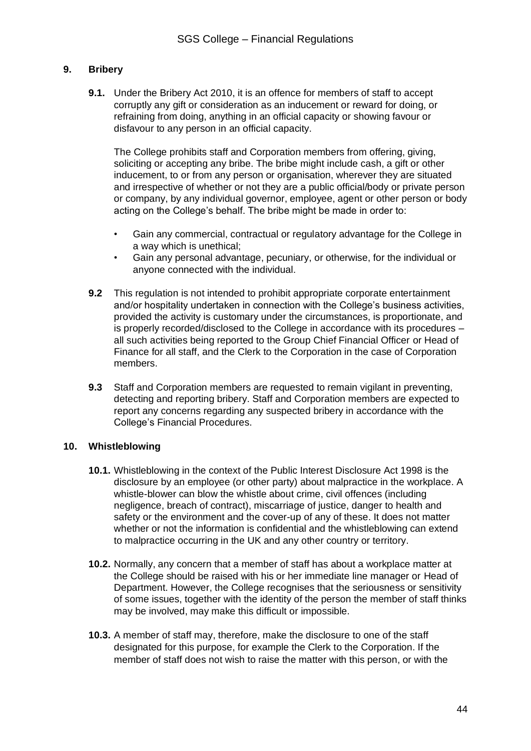#### **9. Bribery**

**9.1.** Under the Bribery Act 2010, it is an offence for members of staff to accept corruptly any gift or consideration as an inducement or reward for doing, or refraining from doing, anything in an official capacity or showing favour or disfavour to any person in an official capacity.

The College prohibits staff and Corporation members from offering, giving, soliciting or accepting any bribe. The bribe might include cash, a gift or other inducement, to or from any person or organisation, wherever they are situated and irrespective of whether or not they are a public official/body or private person or company, by any individual governor, employee, agent or other person or body acting on the College's behalf. The bribe might be made in order to:

- Gain any commercial, contractual or regulatory advantage for the College in a way which is unethical;
- Gain any personal advantage, pecuniary, or otherwise, for the individual or anyone connected with the individual.
- **9.2** This regulation is not intended to prohibit appropriate corporate entertainment and/or hospitality undertaken in connection with the College's business activities, provided the activity is customary under the circumstances, is proportionate, and is properly recorded/disclosed to the College in accordance with its procedures – all such activities being reported to the Group Chief Financial Officer or Head of Finance for all staff, and the Clerk to the Corporation in the case of Corporation members.
- **9.3** Staff and Corporation members are requested to remain vigilant in preventing, detecting and reporting bribery. Staff and Corporation members are expected to report any concerns regarding any suspected bribery in accordance with the College's Financial Procedures.

#### **10. Whistleblowing**

- **10.1.** Whistleblowing in the context of the Public Interest Disclosure Act 1998 is the disclosure by an employee (or other party) about malpractice in the workplace. A whistle-blower can blow the whistle about crime, civil offences (including negligence, breach of contract), miscarriage of justice, danger to health and safety or the environment and the cover-up of any of these. It does not matter whether or not the information is confidential and the whistleblowing can extend to malpractice occurring in the UK and any other country or territory.
- **10.2.** Normally, any concern that a member of staff has about a workplace matter at the College should be raised with his or her immediate line manager or Head of Department. However, the College recognises that the seriousness or sensitivity of some issues, together with the identity of the person the member of staff thinks may be involved, may make this difficult or impossible.
- **10.3.** A member of staff may, therefore, make the disclosure to one of the staff designated for this purpose, for example the Clerk to the Corporation. If the member of staff does not wish to raise the matter with this person, or with the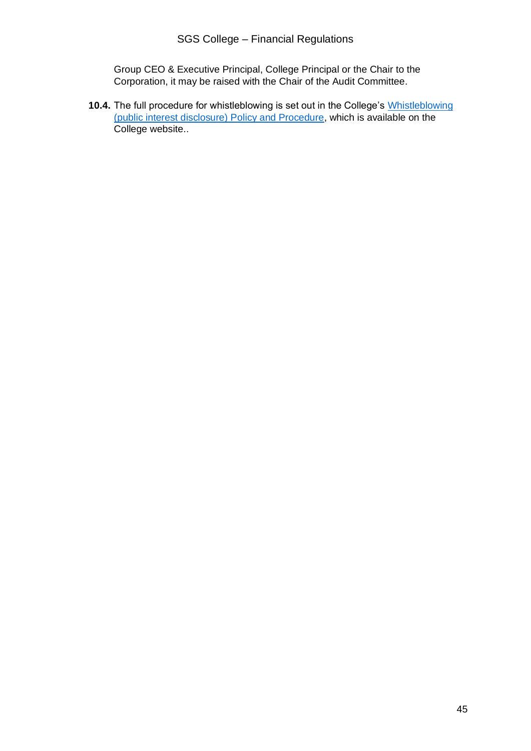Group CEO & Executive Principal, College Principal or the Chair to the Corporation, it may be raised with the Chair of the Audit Committee.

**10.4.** The full procedure for whistleblowing is set out in the College's [Whistleblowing](https://www.aoc.co.uk/funding-and-corporate-services/governance/induction-governors/the-national-framework?sourcedoc=%7BA0C28399-B8C6-4C67-B79F-D7FA3B1FF36F%7D&file=Whistleblowing%20(public%20interest%20disclosure).docx&action=default&mobileredirect=true&DefaultItemOpen=1) [\(public interest disclosure\) Policy](https://www.aoc.co.uk/funding-and-corporate-services/governance/induction-governors/the-national-framework?sourcedoc=%7BA0C28399-B8C6-4C67-B79F-D7FA3B1FF36F%7D&file=Whistleblowing%20(public%20interest%20disclosure).docx&action=default&mobileredirect=true&DefaultItemOpen=1) and Procedure, which is available on the College website..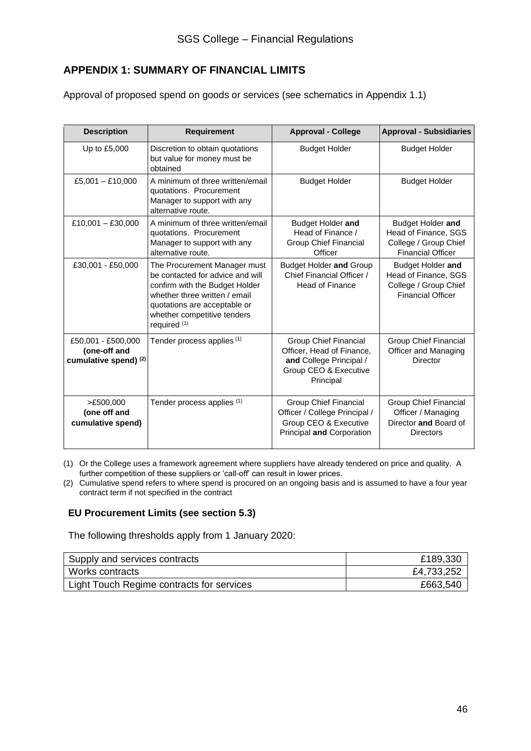### **APPENDIX 1: SUMMARY OF FINANCIAL LIMITS**

Approval of proposed spend on goods or services (see schematics in Appendix 1.1)

| <b>Description</b>                                          | <b>Requirement</b>                                                                                                                                                                                                   | <b>Approval - College</b>                                                                                                  | <b>Approval - Subsidiaries</b>                                                                  |
|-------------------------------------------------------------|----------------------------------------------------------------------------------------------------------------------------------------------------------------------------------------------------------------------|----------------------------------------------------------------------------------------------------------------------------|-------------------------------------------------------------------------------------------------|
| Up to £5,000                                                | Discretion to obtain quotations<br>but value for money must be<br>obtained                                                                                                                                           | <b>Budget Holder</b>                                                                                                       | <b>Budget Holder</b>                                                                            |
| £5,001 $-$ £10,000                                          | A minimum of three written/email<br>quotations. Procurement<br>Manager to support with any<br>alternative route.                                                                                                     | <b>Budget Holder</b>                                                                                                       | <b>Budget Holder</b>                                                                            |
| $£10,001 - £30,000$                                         | A minimum of three written/email<br>quotations. Procurement<br>Manager to support with any<br>alternative route.                                                                                                     | Budget Holder and<br>Head of Finance /<br><b>Group Chief Financial</b><br>Officer                                          | Budget Holder and<br>Head of Finance, SGS<br>College / Group Chief<br><b>Financial Officer</b>  |
| £30,001 - £50,000                                           | The Procurement Manager must<br>be contacted for advice and will<br>confirm with the Budget Holder<br>whether three written / email<br>quotations are acceptable or<br>whether competitive tenders<br>required $(1)$ | <b>Budget Holder and Group</b><br>Chief Financial Officer /<br><b>Head of Finance</b>                                      | Budget Holder and<br>Head of Finance, SGS<br>College / Group Chief<br><b>Financial Officer</b>  |
| £50,001 - £500,000<br>(one-off and<br>cumulative spend) (2) | Tender process applies (1)                                                                                                                                                                                           | <b>Group Chief Financial</b><br>Officer, Head of Finance,<br>and College Principal /<br>Group CEO & Executive<br>Principal | Group Chief Financial<br>Officer and Managing<br><b>Director</b>                                |
| >£500,000<br>(one off and<br>cumulative spend)              | Tender process applies (1)                                                                                                                                                                                           | Group Chief Financial<br>Officer / College Principal /<br>Group CEO & Executive<br>Principal and Corporation               | <b>Group Chief Financial</b><br>Officer / Managing<br>Director and Board of<br><b>Directors</b> |

(1) Or the College uses a framework agreement where suppliers have already tendered on price and quality. A further competition of these suppliers or 'call-off' can result in lower prices.

(2) Cumulative spend refers to where spend is procured on an ongoing basis and is assumed to have a four year contract term if not specified in the contract

#### **EU Procurement Limits (see section 5.3)**

The following thresholds apply from 1 January 2020:

| Supply and services contracts             | £189,330   |
|-------------------------------------------|------------|
| Works contracts                           | £4,733,252 |
| Light Touch Regime contracts for services | £663,540   |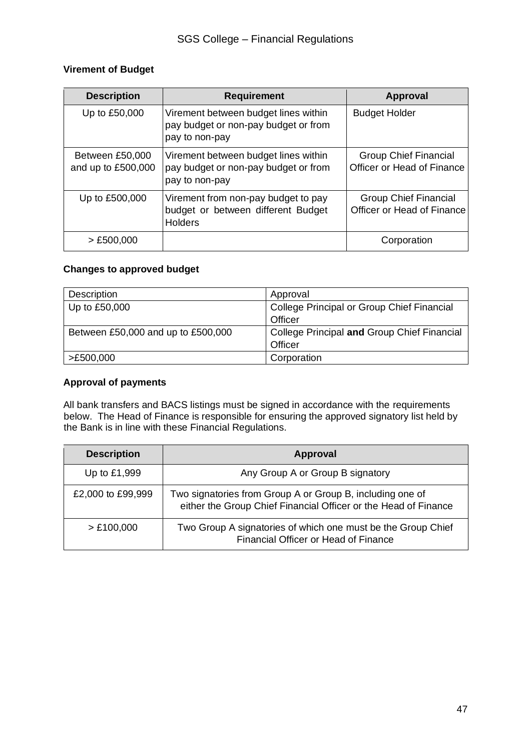#### **Virement of Budget**

| <b>Description</b>                    | <b>Requirement</b>                                                                             | <b>Approval</b>                                            |
|---------------------------------------|------------------------------------------------------------------------------------------------|------------------------------------------------------------|
| Up to £50,000                         | Virement between budget lines within<br>pay budget or non-pay budget or from<br>pay to non-pay | <b>Budget Holder</b>                                       |
| Between £50,000<br>and up to £500,000 | Virement between budget lines within<br>pay budget or non-pay budget or from<br>pay to non-pay | <b>Group Chief Financial</b><br>Officer or Head of Finance |
| Up to £500,000                        | Virement from non-pay budget to pay<br>budget or between different Budget<br><b>Holders</b>    | <b>Group Chief Financial</b><br>Officer or Head of Finance |
| $>$ £500,000                          |                                                                                                | Corporation                                                |

#### **Changes to approved budget**

| Description                        | Approval                                    |
|------------------------------------|---------------------------------------------|
| Up to £50,000                      | College Principal or Group Chief Financial  |
|                                    | Officer                                     |
| Between £50,000 and up to £500,000 | College Principal and Group Chief Financial |
|                                    | Officer                                     |
| >£500,000                          | Corporation                                 |

#### **Approval of payments**

All bank transfers and BACS listings must be signed in accordance with the requirements below. The Head of Finance is responsible for ensuring the approved signatory list held by the Bank is in line with these Financial Regulations.

| <b>Description</b> | Approval                                                                                                                     |  |
|--------------------|------------------------------------------------------------------------------------------------------------------------------|--|
| Up to £1,999       | Any Group A or Group B signatory                                                                                             |  |
| £2,000 to £99,999  | Two signatories from Group A or Group B, including one of<br>either the Group Chief Financial Officer or the Head of Finance |  |
| > £100,000         | Two Group A signatories of which one must be the Group Chief<br>Financial Officer or Head of Finance                         |  |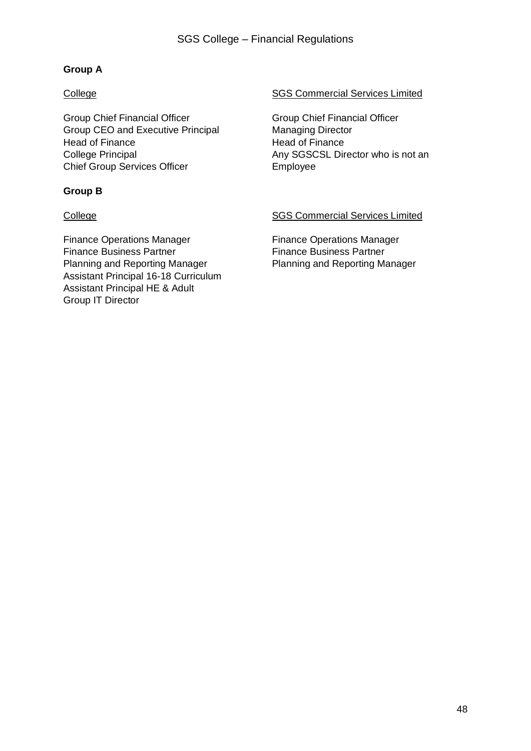#### **Group A**

Group Chief Financial Officer Group Chief Financial Officer Group CEO and Executive Principal Managing Director Head of Finance **Head of Finance** Chief Group Services Officer **Employee** 

#### **Group B**

Finance Operations Manager Finance Operations Manager Finance Business Partner Finance Business Partner Planning and Reporting Manager Planning and Reporting Manager Assistant Principal 16-18 Curriculum Assistant Principal HE & Adult Group IT Director

#### College College SGS Commercial Services Limited

College Principal **Any SGSCSL Director who is not an** 

#### College College SGS Commercial Services Limited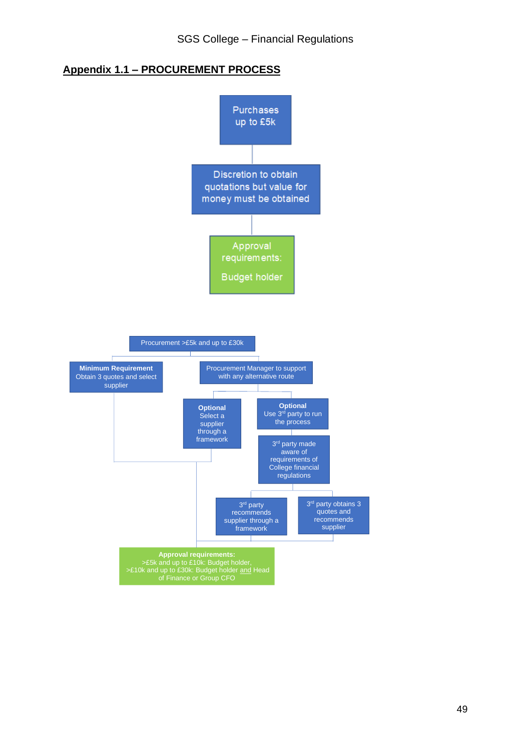### **Appendix 1.1 – PROCUREMENT PROCESS**

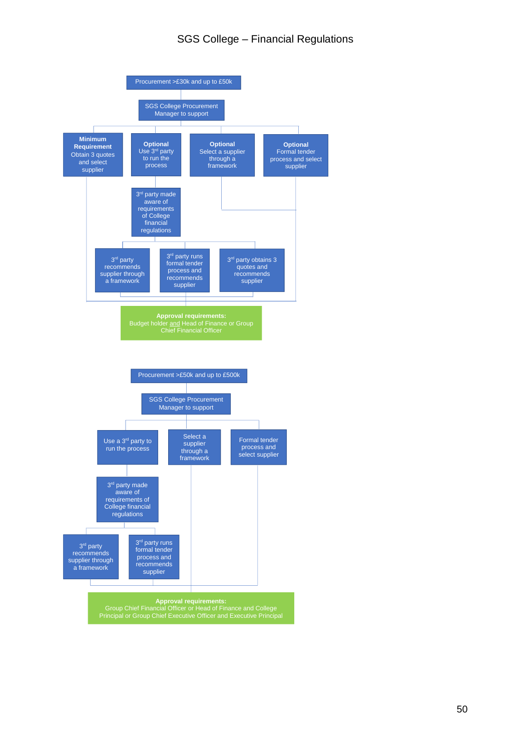#### SGS College – Financial Regulations

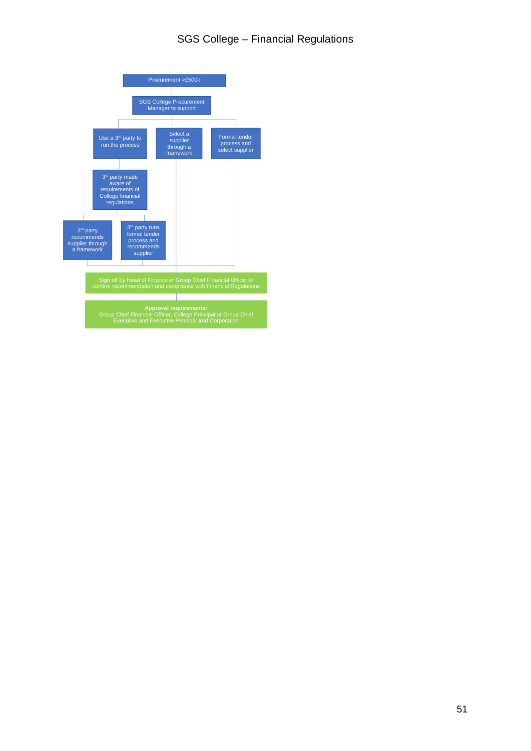#### SGS College – Financial Regulations

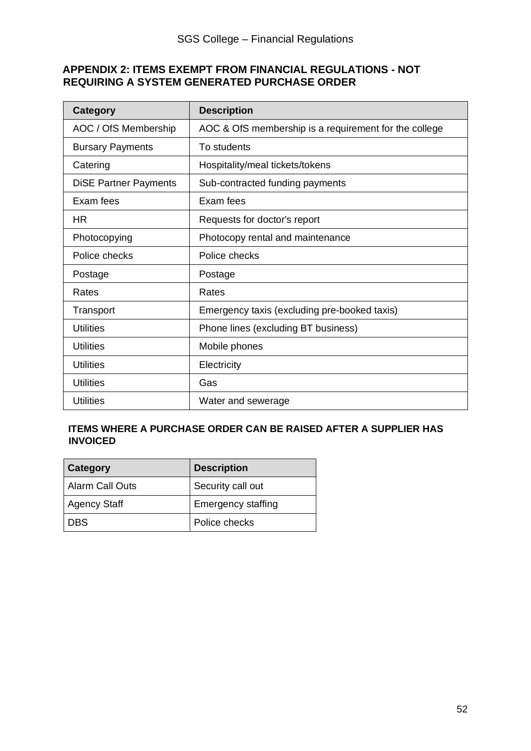#### **APPENDIX 2: ITEMS EXEMPT FROM FINANCIAL REGULATIONS - NOT REQUIRING A SYSTEM GENERATED PURCHASE ORDER**

| <b>Category</b>              | <b>Description</b>                                    |
|------------------------------|-------------------------------------------------------|
| AOC / OfS Membership         | AOC & OfS membership is a requirement for the college |
| <b>Bursary Payments</b>      | To students                                           |
| Catering                     | Hospitality/meal tickets/tokens                       |
| <b>DiSE Partner Payments</b> | Sub-contracted funding payments                       |
| Exam fees                    | Exam fees                                             |
| <b>HR</b>                    | Requests for doctor's report                          |
| Photocopying                 | Photocopy rental and maintenance                      |
| Police checks                | Police checks                                         |
| Postage                      | Postage                                               |
| Rates                        | Rates                                                 |
| Transport                    | Emergency taxis (excluding pre-booked taxis)          |
| <b>Utilities</b>             | Phone lines (excluding BT business)                   |
| <b>Utilities</b>             | Mobile phones                                         |
| <b>Utilities</b>             | Electricity                                           |
| <b>Utilities</b>             | Gas                                                   |
| <b>Utilities</b>             | Water and sewerage                                    |

#### **ITEMS WHERE A PURCHASE ORDER CAN BE RAISED AFTER A SUPPLIER HAS INVOICED**

| Category               | <b>Description</b>        |
|------------------------|---------------------------|
| <b>Alarm Call Outs</b> | Security call out         |
| <b>Agency Staff</b>    | <b>Emergency staffing</b> |
| <b>DBS</b>             | Police checks             |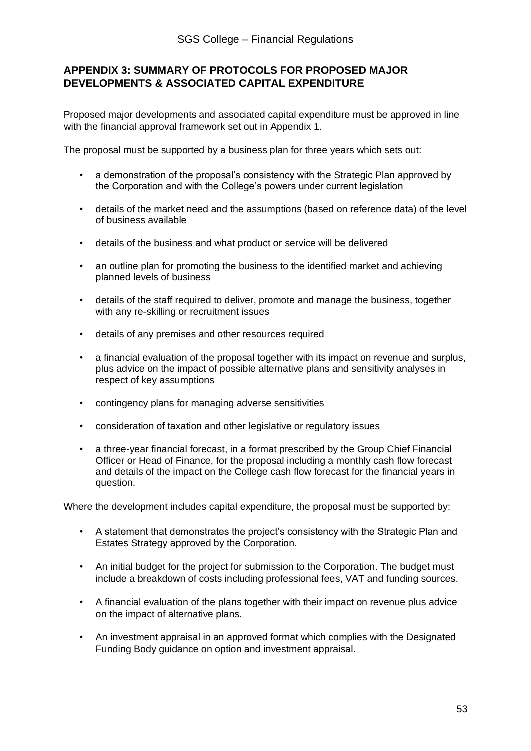#### **APPENDIX 3: SUMMARY OF PROTOCOLS FOR PROPOSED MAJOR DEVELOPMENTS & ASSOCIATED CAPITAL EXPENDITURE**

Proposed major developments and associated capital expenditure must be approved in line with the financial approval framework set out in Appendix 1.

The proposal must be supported by a business plan for three years which sets out:

- a demonstration of the proposal's consistency with the Strategic Plan approved by the Corporation and with the College's powers under current legislation
- details of the market need and the assumptions (based on reference data) of the level of business available
- details of the business and what product or service will be delivered
- an outline plan for promoting the business to the identified market and achieving planned levels of business
- details of the staff required to deliver, promote and manage the business, together with any re-skilling or recruitment issues
- details of any premises and other resources required
- a financial evaluation of the proposal together with its impact on revenue and surplus, plus advice on the impact of possible alternative plans and sensitivity analyses in respect of key assumptions
- contingency plans for managing adverse sensitivities
- consideration of taxation and other legislative or regulatory issues
- a three-year financial forecast, in a format prescribed by the Group Chief Financial Officer or Head of Finance, for the proposal including a monthly cash flow forecast and details of the impact on the College cash flow forecast for the financial years in question.

Where the development includes capital expenditure, the proposal must be supported by:

- A statement that demonstrates the project's consistency with the Strategic Plan and Estates Strategy approved by the Corporation.
- An initial budget for the project for submission to the Corporation. The budget must include a breakdown of costs including professional fees, VAT and funding sources.
- A financial evaluation of the plans together with their impact on revenue plus advice on the impact of alternative plans.
- An investment appraisal in an approved format which complies with the Designated Funding Body guidance on option and investment appraisal.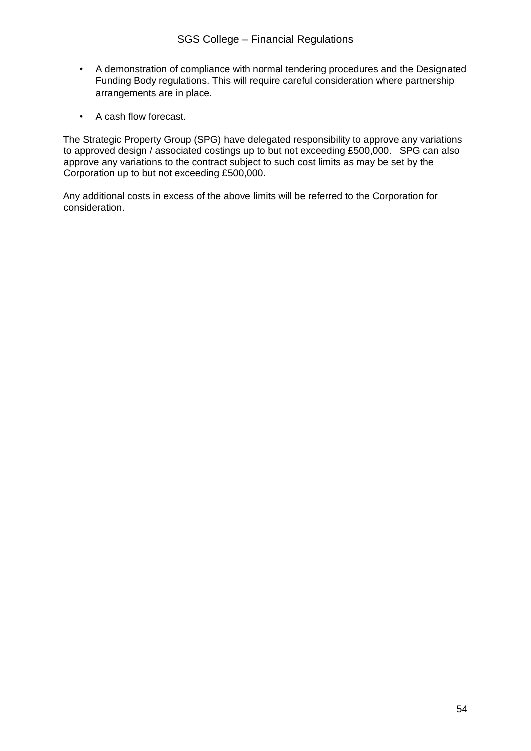- A demonstration of compliance with normal tendering procedures and the Designated Funding Body regulations. This will require careful consideration where partnership arrangements are in place.
- A cash flow forecast.

The Strategic Property Group (SPG) have delegated responsibility to approve any variations to approved design / associated costings up to but not exceeding £500,000. SPG can also approve any variations to the contract subject to such cost limits as may be set by the Corporation up to but not exceeding £500,000.

Any additional costs in excess of the above limits will be referred to the Corporation for consideration.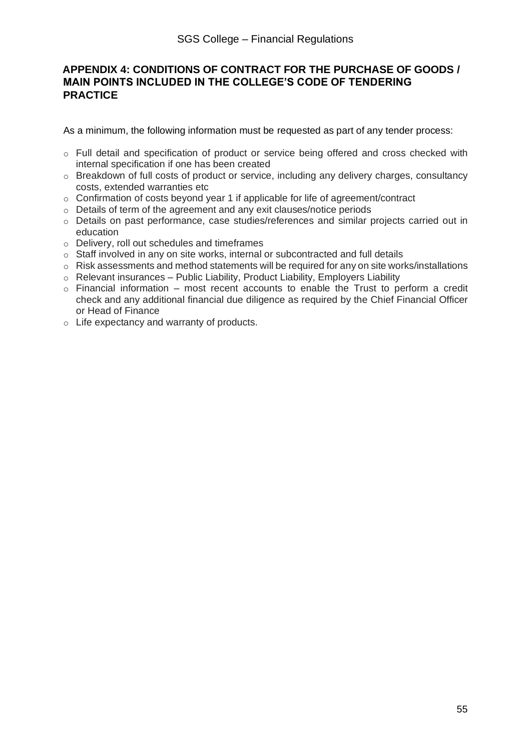#### **APPENDIX 4: CONDITIONS OF CONTRACT FOR THE PURCHASE OF GOODS / MAIN POINTS INCLUDED IN THE COLLEGE'S CODE OF TENDERING PRACTICE**

As a minimum, the following information must be requested as part of any tender process:

- o Full detail and specification of product or service being offered and cross checked with internal specification if one has been created
- o Breakdown of full costs of product or service, including any delivery charges, consultancy costs, extended warranties etc
- $\circ$  Confirmation of costs beyond year 1 if applicable for life of agreement/contract
- o Details of term of the agreement and any exit clauses/notice periods
- o Details on past performance, case studies/references and similar projects carried out in education
- o Delivery, roll out schedules and timeframes
- o Staff involved in any on site works, internal or subcontracted and full details
- $\circ$  Risk assessments and method statements will be required for any on site works/installations
- o Relevant insurances Public Liability, Product Liability, Employers Liability
- $\circ$  Financial information most recent accounts to enable the Trust to perform a credit check and any additional financial due diligence as required by the Chief Financial Officer or Head of Finance
- o Life expectancy and warranty of products.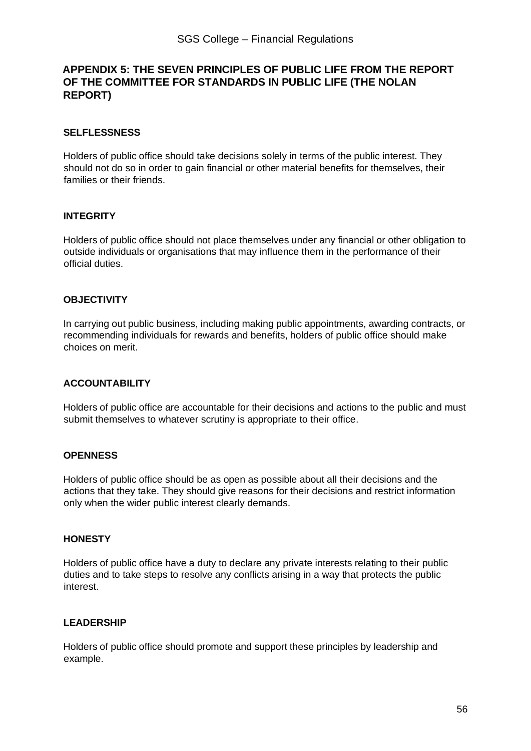#### **APPENDIX 5: THE SEVEN PRINCIPLES OF PUBLIC LIFE FROM THE REPORT OF THE COMMITTEE FOR STANDARDS IN PUBLIC LIFE (THE NOLAN REPORT)**

#### **SELFLESSNESS**

Holders of public office should take decisions solely in terms of the public interest. They should not do so in order to gain financial or other material benefits for themselves, their families or their friends.

#### **INTEGRITY**

Holders of public office should not place themselves under any financial or other obligation to outside individuals or organisations that may influence them in the performance of their official duties.

#### **OBJECTIVITY**

In carrying out public business, including making public appointments, awarding contracts, or recommending individuals for rewards and benefits, holders of public office should make choices on merit.

#### **ACCOUNTABILITY**

Holders of public office are accountable for their decisions and actions to the public and must submit themselves to whatever scrutiny is appropriate to their office.

#### **OPENNESS**

Holders of public office should be as open as possible about all their decisions and the actions that they take. They should give reasons for their decisions and restrict information only when the wider public interest clearly demands.

#### **HONESTY**

Holders of public office have a duty to declare any private interests relating to their public duties and to take steps to resolve any conflicts arising in a way that protects the public interest.

#### **LEADERSHIP**

Holders of public office should promote and support these principles by leadership and example.